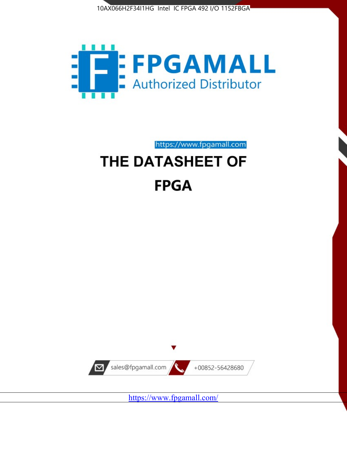



https://www.fpgamall.com THE DATASHEET OF

# **FPGA**



<https://www.fpgamall.com/>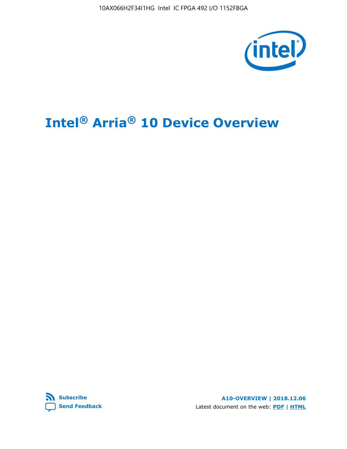10AX066H2F34I1HG Intel IC FPGA 492 I/O 1152FBGA



# **Intel® Arria® 10 Device Overview**



**A10-OVERVIEW | 2018.12.06** Latest document on the web: **[PDF](https://www.intel.com/content/dam/www/programmable/us/en/pdfs/literature/hb/arria-10/a10_overview.pdf)** | **[HTML](https://www.intel.com/content/www/us/en/programmable/documentation/sam1403480274650.html)**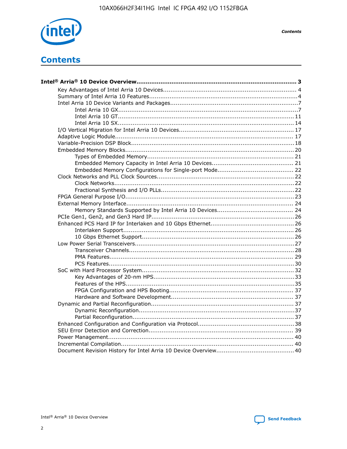

**Contents** 

# **Contents**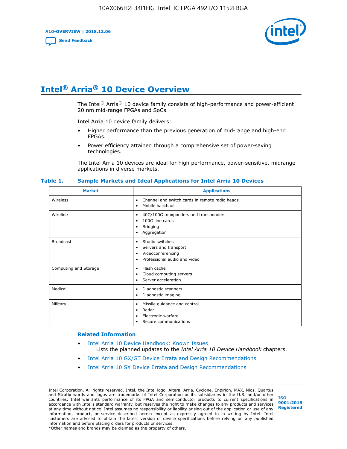**A10-OVERVIEW | 2018.12.06**

**[Send Feedback](mailto:FPGAtechdocfeedback@intel.com?subject=Feedback%20on%20Intel%20Arria%2010%20Device%20Overview%20(A10-OVERVIEW%202018.12.06)&body=We%20appreciate%20your%20feedback.%20In%20your%20comments,%20also%20specify%20the%20page%20number%20or%20paragraph.%20Thank%20you.)**



# **Intel® Arria® 10 Device Overview**

The Intel<sup>®</sup> Arria<sup>®</sup> 10 device family consists of high-performance and power-efficient 20 nm mid-range FPGAs and SoCs.

Intel Arria 10 device family delivers:

- Higher performance than the previous generation of mid-range and high-end FPGAs.
- Power efficiency attained through a comprehensive set of power-saving technologies.

The Intel Arria 10 devices are ideal for high performance, power-sensitive, midrange applications in diverse markets.

| <b>Market</b>         | <b>Applications</b>                                                                                               |
|-----------------------|-------------------------------------------------------------------------------------------------------------------|
| Wireless              | Channel and switch cards in remote radio heads<br>٠<br>Mobile backhaul<br>٠                                       |
| Wireline              | 40G/100G muxponders and transponders<br>٠<br>100G line cards<br>٠<br><b>Bridging</b><br>٠<br>Aggregation<br>٠     |
| <b>Broadcast</b>      | Studio switches<br>٠<br>Servers and transport<br>٠<br>Videoconferencing<br>٠<br>Professional audio and video<br>٠ |
| Computing and Storage | Flash cache<br>٠<br>Cloud computing servers<br>٠<br>Server acceleration<br>٠                                      |
| Medical               | Diagnostic scanners<br>٠<br>Diagnostic imaging<br>٠                                                               |
| Military              | Missile guidance and control<br>٠<br>Radar<br>٠<br>Electronic warfare<br>٠<br>Secure communications<br>٠          |

#### **Table 1. Sample Markets and Ideal Applications for Intel Arria 10 Devices**

#### **Related Information**

- [Intel Arria 10 Device Handbook: Known Issues](http://www.altera.com/support/kdb/solutions/rd07302013_646.html) Lists the planned updates to the *Intel Arria 10 Device Handbook* chapters.
- [Intel Arria 10 GX/GT Device Errata and Design Recommendations](https://www.intel.com/content/www/us/en/programmable/documentation/agz1493851706374.html#yqz1494433888646)
- [Intel Arria 10 SX Device Errata and Design Recommendations](https://www.intel.com/content/www/us/en/programmable/documentation/cru1462832385668.html#cru1462832558642)

Intel Corporation. All rights reserved. Intel, the Intel logo, Altera, Arria, Cyclone, Enpirion, MAX, Nios, Quartus and Stratix words and logos are trademarks of Intel Corporation or its subsidiaries in the U.S. and/or other countries. Intel warrants performance of its FPGA and semiconductor products to current specifications in accordance with Intel's standard warranty, but reserves the right to make changes to any products and services at any time without notice. Intel assumes no responsibility or liability arising out of the application or use of any information, product, or service described herein except as expressly agreed to in writing by Intel. Intel customers are advised to obtain the latest version of device specifications before relying on any published information and before placing orders for products or services. \*Other names and brands may be claimed as the property of others.

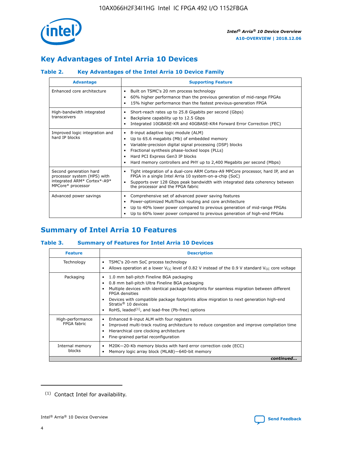

## **Key Advantages of Intel Arria 10 Devices**

## **Table 2. Key Advantages of the Intel Arria 10 Device Family**

| <b>Advantage</b>                                                                                          | <b>Supporting Feature</b>                                                                                                                                                                                                                                                                                                     |
|-----------------------------------------------------------------------------------------------------------|-------------------------------------------------------------------------------------------------------------------------------------------------------------------------------------------------------------------------------------------------------------------------------------------------------------------------------|
| Enhanced core architecture                                                                                | Built on TSMC's 20 nm process technology<br>٠<br>60% higher performance than the previous generation of mid-range FPGAs<br>٠<br>15% higher performance than the fastest previous-generation FPGA<br>٠                                                                                                                         |
| High-bandwidth integrated<br>transceivers                                                                 | Short-reach rates up to 25.8 Gigabits per second (Gbps)<br>٠<br>Backplane capability up to 12.5 Gbps<br>٠<br>Integrated 10GBASE-KR and 40GBASE-KR4 Forward Error Correction (FEC)<br>٠                                                                                                                                        |
| Improved logic integration and<br>hard IP blocks                                                          | 8-input adaptive logic module (ALM)<br>٠<br>Up to 65.6 megabits (Mb) of embedded memory<br>٠<br>Variable-precision digital signal processing (DSP) blocks<br>Fractional synthesis phase-locked loops (PLLs)<br>٠<br>Hard PCI Express Gen3 IP blocks<br>Hard memory controllers and PHY up to 2,400 Megabits per second (Mbps) |
| Second generation hard<br>processor system (HPS) with<br>integrated ARM* Cortex*-A9*<br>MPCore* processor | Tight integration of a dual-core ARM Cortex-A9 MPCore processor, hard IP, and an<br>٠<br>FPGA in a single Intel Arria 10 system-on-a-chip (SoC)<br>Supports over 128 Gbps peak bandwidth with integrated data coherency between<br>$\bullet$<br>the processor and the FPGA fabric                                             |
| Advanced power savings                                                                                    | Comprehensive set of advanced power saving features<br>٠<br>Power-optimized MultiTrack routing and core architecture<br>٠<br>Up to 40% lower power compared to previous generation of mid-range FPGAs<br>٠<br>Up to 60% lower power compared to previous generation of high-end FPGAs                                         |

## **Summary of Intel Arria 10 Features**

## **Table 3. Summary of Features for Intel Arria 10 Devices**

| <b>Feature</b>                  | <b>Description</b>                                                                                                                                                                                                                                                                                                                                                                                 |
|---------------------------------|----------------------------------------------------------------------------------------------------------------------------------------------------------------------------------------------------------------------------------------------------------------------------------------------------------------------------------------------------------------------------------------------------|
| Technology                      | TSMC's 20-nm SoC process technology<br>Allows operation at a lower $V_{\text{CC}}$ level of 0.82 V instead of the 0.9 V standard $V_{\text{CC}}$ core voltage                                                                                                                                                                                                                                      |
| Packaging                       | 1.0 mm ball-pitch Fineline BGA packaging<br>٠<br>0.8 mm ball-pitch Ultra Fineline BGA packaging<br>Multiple devices with identical package footprints for seamless migration between different<br><b>FPGA</b> densities<br>Devices with compatible package footprints allow migration to next generation high-end<br>Stratix $@10$ devices<br>RoHS, leaded $(1)$ , and lead-free (Pb-free) options |
| High-performance<br>FPGA fabric | Enhanced 8-input ALM with four registers<br>Improved multi-track routing architecture to reduce congestion and improve compilation time<br>Hierarchical core clocking architecture<br>Fine-grained partial reconfiguration                                                                                                                                                                         |
| Internal memory<br>blocks       | M20K-20-Kb memory blocks with hard error correction code (ECC)<br>Memory logic array block (MLAB)-640-bit memory                                                                                                                                                                                                                                                                                   |
|                                 | continued                                                                                                                                                                                                                                                                                                                                                                                          |



<sup>(1)</sup> Contact Intel for availability.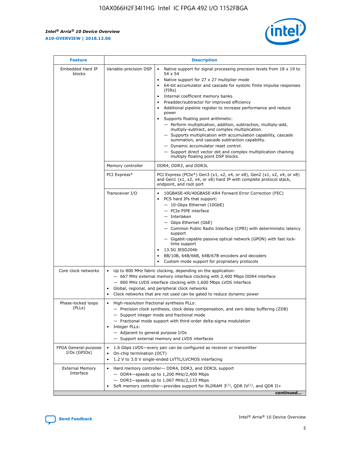r



| <b>Feature</b>                         | <b>Description</b>                                                                                             |                                                                                                                                                                                                                                                                                                                                                                                                                                                                                                                                                                                                                                                                                                                                                                                                                                        |  |  |  |  |  |
|----------------------------------------|----------------------------------------------------------------------------------------------------------------|----------------------------------------------------------------------------------------------------------------------------------------------------------------------------------------------------------------------------------------------------------------------------------------------------------------------------------------------------------------------------------------------------------------------------------------------------------------------------------------------------------------------------------------------------------------------------------------------------------------------------------------------------------------------------------------------------------------------------------------------------------------------------------------------------------------------------------------|--|--|--|--|--|
| Embedded Hard IP<br>blocks             | Variable-precision DSP                                                                                         | Native support for signal processing precision levels from $18 \times 19$ to<br>54 x 54<br>Native support for 27 x 27 multiplier mode<br>64-bit accumulator and cascade for systolic finite impulse responses<br>(FIRs)<br>Internal coefficient memory banks<br>$\bullet$<br>Preadder/subtractor for improved efficiency<br>Additional pipeline register to increase performance and reduce<br>power<br>Supports floating point arithmetic:<br>- Perform multiplication, addition, subtraction, multiply-add,<br>multiply-subtract, and complex multiplication.<br>- Supports multiplication with accumulation capability, cascade<br>summation, and cascade subtraction capability.<br>- Dynamic accumulator reset control.<br>- Support direct vector dot and complex multiplication chaining<br>multiply floating point DSP blocks. |  |  |  |  |  |
|                                        | Memory controller                                                                                              | DDR4, DDR3, and DDR3L                                                                                                                                                                                                                                                                                                                                                                                                                                                                                                                                                                                                                                                                                                                                                                                                                  |  |  |  |  |  |
|                                        | PCI Express*                                                                                                   | PCI Express (PCIe*) Gen3 (x1, x2, x4, or x8), Gen2 (x1, x2, x4, or x8)<br>and Gen1 (x1, x2, x4, or x8) hard IP with complete protocol stack,<br>endpoint, and root port                                                                                                                                                                                                                                                                                                                                                                                                                                                                                                                                                                                                                                                                |  |  |  |  |  |
|                                        | Transceiver I/O                                                                                                | 10GBASE-KR/40GBASE-KR4 Forward Error Correction (FEC)<br>PCS hard IPs that support:<br>$\bullet$<br>- 10-Gbps Ethernet (10GbE)<br>- PCIe PIPE interface<br>$-$ Interlaken<br>- Gbps Ethernet (GbE)<br>- Common Public Radio Interface (CPRI) with deterministic latency<br>support<br>- Gigabit-capable passive optical network (GPON) with fast lock-<br>time support<br>13.5G JESD204b<br>$\bullet$<br>8B/10B, 64B/66B, 64B/67B encoders and decoders<br>Custom mode support for proprietary protocols                                                                                                                                                                                                                                                                                                                               |  |  |  |  |  |
| Core clock networks                    | $\bullet$<br>$\bullet$                                                                                         | Up to 800 MHz fabric clocking, depending on the application:<br>- 667 MHz external memory interface clocking with 2,400 Mbps DDR4 interface<br>- 800 MHz LVDS interface clocking with 1,600 Mbps LVDS interface<br>Global, regional, and peripheral clock networks<br>Clock networks that are not used can be gated to reduce dynamic power                                                                                                                                                                                                                                                                                                                                                                                                                                                                                            |  |  |  |  |  |
| Phase-locked loops<br>(PLLs)           | High-resolution fractional synthesis PLLs:<br>$\bullet$<br>Integer PLLs:<br>- Adjacent to general purpose I/Os | - Precision clock synthesis, clock delay compensation, and zero delay buffering (ZDB)<br>- Support integer mode and fractional mode<br>- Fractional mode support with third-order delta-sigma modulation<br>- Support external memory and LVDS interfaces                                                                                                                                                                                                                                                                                                                                                                                                                                                                                                                                                                              |  |  |  |  |  |
| FPGA General-purpose<br>$I/Os$ (GPIOs) | On-chip termination (OCT)                                                                                      | 1.6 Gbps LVDS-every pair can be configured as receiver or transmitter<br>1.2 V to 3.0 V single-ended LVTTL/LVCMOS interfacing                                                                                                                                                                                                                                                                                                                                                                                                                                                                                                                                                                                                                                                                                                          |  |  |  |  |  |
| <b>External Memory</b><br>Interface    |                                                                                                                | Hard memory controller- DDR4, DDR3, and DDR3L support<br>$-$ DDR4 $-$ speeds up to 1,200 MHz/2,400 Mbps<br>- DDR3-speeds up to 1,067 MHz/2,133 Mbps<br>Soft memory controller—provides support for RLDRAM $3^{(2)}$ , QDR IV $^{(2)}$ , and QDR II+<br>continued                                                                                                                                                                                                                                                                                                                                                                                                                                                                                                                                                                       |  |  |  |  |  |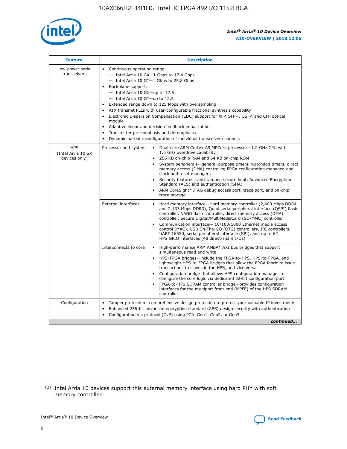

| <b>Feature</b>                                    | <b>Description</b>                                                                                                                                                                                                                                                                                                                                                                                                                                                                                                                                                                                                                                  |  |  |  |  |  |  |  |
|---------------------------------------------------|-----------------------------------------------------------------------------------------------------------------------------------------------------------------------------------------------------------------------------------------------------------------------------------------------------------------------------------------------------------------------------------------------------------------------------------------------------------------------------------------------------------------------------------------------------------------------------------------------------------------------------------------------------|--|--|--|--|--|--|--|
| Low-power serial<br>transceivers                  | • Continuous operating range:<br>- Intel Arria 10 GX-1 Gbps to 17.4 Gbps<br>- Intel Arria 10 GT-1 Gbps to 25.8 Gbps<br>Backplane support:<br>- Intel Arria 10 GX-up to 12.5<br>- Intel Arria 10 GT-up to 12.5<br>Extended range down to 125 Mbps with oversampling<br>ATX transmit PLLs with user-configurable fractional synthesis capability<br>Electronic Dispersion Compensation (EDC) support for XFP, SFP+, QSFP, and CFP optical<br>module<br>Adaptive linear and decision feedback equalization<br>$\bullet$<br>Transmitter pre-emphasis and de-emphasis<br>$\bullet$<br>Dynamic partial reconfiguration of individual transceiver channels |  |  |  |  |  |  |  |
| <b>HPS</b><br>(Intel Arria 10 SX<br>devices only) | Dual-core ARM Cortex-A9 MPCore processor-1.2 GHz CPU with<br>Processor and system<br>$\bullet$<br>1.5 GHz overdrive capability<br>256 KB on-chip RAM and 64 KB on-chip ROM<br>System peripherals—general-purpose timers, watchdog timers, direct<br>memory access (DMA) controller, FPGA configuration manager, and<br>clock and reset managers<br>Security features-anti-tamper, secure boot, Advanced Encryption<br>Standard (AES) and authentication (SHA)<br>ARM CoreSight* JTAG debug access port, trace port, and on-chip<br>trace storage                                                                                                    |  |  |  |  |  |  |  |
|                                                   | <b>External interfaces</b><br>Hard memory interface-Hard memory controller (2,400 Mbps DDR4,<br>$\bullet$<br>and 2,133 Mbps DDR3), Quad serial peripheral interface (QSPI) flash<br>controller, NAND flash controller, direct memory access (DMA)<br>controller, Secure Digital/MultiMediaCard (SD/MMC) controller<br>Communication interface-10/100/1000 Ethernet media access<br>control (MAC), USB On-The-GO (OTG) controllers, I <sup>2</sup> C controllers,<br>UART 16550, serial peripheral interface (SPI), and up to 62<br>HPS GPIO interfaces (48 direct-share I/Os)                                                                       |  |  |  |  |  |  |  |
|                                                   | High-performance ARM AMBA* AXI bus bridges that support<br>Interconnects to core<br>$\bullet$<br>simultaneous read and write<br>HPS-FPGA bridges-include the FPGA-to-HPS, HPS-to-FPGA, and<br>$\bullet$<br>lightweight HPS-to-FPGA bridges that allow the FPGA fabric to issue<br>transactions to slaves in the HPS, and vice versa<br>Configuration bridge that allows HPS configuration manager to<br>configure the core logic via dedicated 32-bit configuration port<br>FPGA-to-HPS SDRAM controller bridge-provides configuration<br>interfaces for the multiport front end (MPFE) of the HPS SDRAM<br>controller                              |  |  |  |  |  |  |  |
| Configuration                                     | Tamper protection—comprehensive design protection to protect your valuable IP investments<br>Enhanced 256-bit advanced encryption standard (AES) design security with authentication<br>٠<br>Configuration via protocol (CvP) using PCIe Gen1, Gen2, or Gen3<br>continued                                                                                                                                                                                                                                                                                                                                                                           |  |  |  |  |  |  |  |

<sup>(2)</sup> Intel Arria 10 devices support this external memory interface using hard PHY with soft memory controller.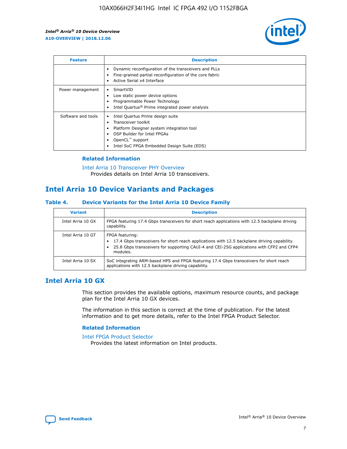

| <b>Feature</b>     | <b>Description</b>                                                                                                                                                                                               |
|--------------------|------------------------------------------------------------------------------------------------------------------------------------------------------------------------------------------------------------------|
|                    | Dynamic reconfiguration of the transceivers and PLLs<br>Fine-grained partial reconfiguration of the core fabric<br>Active Serial x4 Interface<br>$\bullet$                                                       |
| Power management   | SmartVID<br>Low static power device options<br>Programmable Power Technology<br>Intel Quartus <sup>®</sup> Prime integrated power analysis                                                                       |
| Software and tools | Intel Quartus Prime design suite<br>Transceiver toolkit<br>Platform Designer system integration tool<br>DSP Builder for Intel FPGAs<br>OpenCL <sup>™</sup> support<br>Intel SoC FPGA Embedded Design Suite (EDS) |

## **Related Information**

[Intel Arria 10 Transceiver PHY Overview](https://www.intel.com/content/www/us/en/programmable/documentation/nik1398707230472.html#nik1398706768037) Provides details on Intel Arria 10 transceivers.

## **Intel Arria 10 Device Variants and Packages**

#### **Table 4. Device Variants for the Intel Arria 10 Device Family**

| <b>Variant</b>    | <b>Description</b>                                                                                                                                                                                                     |
|-------------------|------------------------------------------------------------------------------------------------------------------------------------------------------------------------------------------------------------------------|
| Intel Arria 10 GX | FPGA featuring 17.4 Gbps transceivers for short reach applications with 12.5 backplane driving<br>capability.                                                                                                          |
| Intel Arria 10 GT | FPGA featuring:<br>17.4 Gbps transceivers for short reach applications with 12.5 backplane driving capability.<br>25.8 Gbps transceivers for supporting CAUI-4 and CEI-25G applications with CFP2 and CFP4<br>modules. |
| Intel Arria 10 SX | SoC integrating ARM-based HPS and FPGA featuring 17.4 Gbps transceivers for short reach<br>applications with 12.5 backplane driving capability.                                                                        |

## **Intel Arria 10 GX**

This section provides the available options, maximum resource counts, and package plan for the Intel Arria 10 GX devices.

The information in this section is correct at the time of publication. For the latest information and to get more details, refer to the Intel FPGA Product Selector.

## **Related Information**

#### [Intel FPGA Product Selector](http://www.altera.com/products/selector/psg-selector.html) Provides the latest information on Intel products.

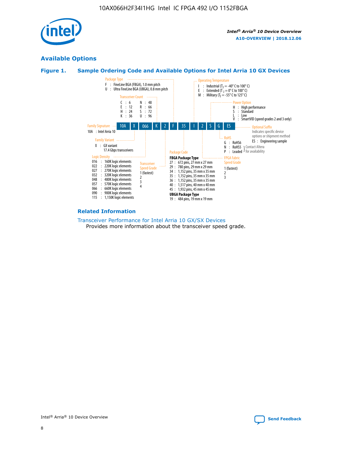

## **Available Options**





#### **Related Information**

[Transceiver Performance for Intel Arria 10 GX/SX Devices](https://www.intel.com/content/www/us/en/programmable/documentation/mcn1413182292568.html#mcn1413213965502) Provides more information about the transceiver speed grade.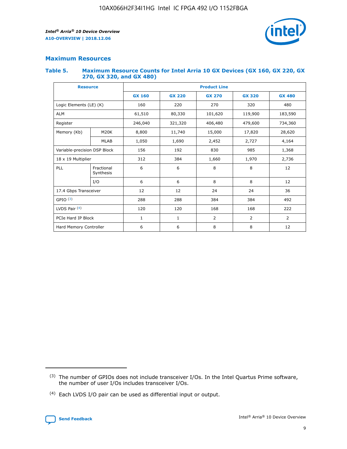

## **Maximum Resources**

#### **Table 5. Maximum Resource Counts for Intel Arria 10 GX Devices (GX 160, GX 220, GX 270, GX 320, and GX 480)**

| <b>Resource</b>              |                         | <b>Product Line</b> |                                                 |                    |                |                |  |  |  |
|------------------------------|-------------------------|---------------------|-------------------------------------------------|--------------------|----------------|----------------|--|--|--|
|                              |                         | <b>GX 160</b>       | <b>GX 220</b><br><b>GX 270</b><br><b>GX 320</b> |                    |                | <b>GX 480</b>  |  |  |  |
| Logic Elements (LE) (K)      |                         | 160                 | 220                                             | 270                | 320            | 480            |  |  |  |
| <b>ALM</b>                   |                         | 61,510              | 80,330                                          | 101,620            | 119,900        | 183,590        |  |  |  |
| Register                     |                         | 246,040             | 321,320                                         | 406,480<br>479,600 |                | 734,360        |  |  |  |
| Memory (Kb)                  | M <sub>20</sub> K       | 8,800               | 11,740                                          | 15,000             | 17,820         | 28,620         |  |  |  |
|                              | <b>MLAB</b>             | 1,050               | 1,690                                           | 2,452<br>2,727     |                | 4,164          |  |  |  |
| Variable-precision DSP Block |                         | 156                 | 192                                             | 830                | 985            |                |  |  |  |
| 18 x 19 Multiplier           |                         | 312                 | 384                                             | 1,660<br>1,970     |                | 2,736          |  |  |  |
| PLL                          | Fractional<br>Synthesis | 6                   | 6                                               | 8                  | 8              | 12             |  |  |  |
|                              | I/O                     | 6                   | 6                                               | 8                  | 8              | 12             |  |  |  |
| 17.4 Gbps Transceiver        |                         | 12                  | 12                                              | 24                 | 24             | 36             |  |  |  |
| GPIO <sup>(3)</sup>          |                         | 288                 | 288                                             | 384                | 384            | 492            |  |  |  |
| LVDS Pair $(4)$              |                         | 120                 | 120                                             | 168                | 168            | 222            |  |  |  |
| PCIe Hard IP Block           |                         | $\mathbf{1}$        | 1                                               | $\overline{2}$     | $\overline{2}$ | $\overline{2}$ |  |  |  |
| Hard Memory Controller       |                         | 6                   | 6                                               | 8                  | 8              |                |  |  |  |

<sup>(4)</sup> Each LVDS I/O pair can be used as differential input or output.



<sup>(3)</sup> The number of GPIOs does not include transceiver I/Os. In the Intel Quartus Prime software, the number of user I/Os includes transceiver I/Os.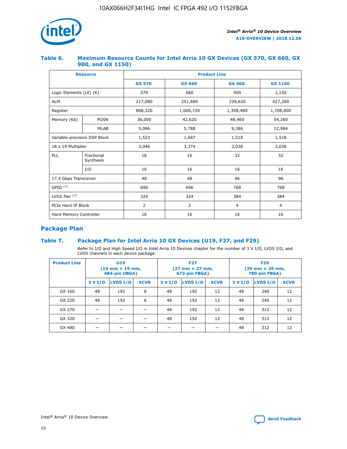

## **Table 6. Maximum Resource Counts for Intel Arria 10 GX Devices (GX 570, GX 660, GX 900, and GX 1150)**

|                              | <b>Resource</b>         | <b>Product Line</b> |                |                |                |  |  |  |  |
|------------------------------|-------------------------|---------------------|----------------|----------------|----------------|--|--|--|--|
|                              |                         | <b>GX 570</b>       | <b>GX 660</b>  | <b>GX 900</b>  | <b>GX 1150</b> |  |  |  |  |
| Logic Elements (LE) (K)      |                         | 570                 | 660            | 900            | 1,150          |  |  |  |  |
| <b>ALM</b>                   |                         | 217,080             | 251,680        | 339,620        | 427,200        |  |  |  |  |
| Register                     |                         | 868,320             | 1,006,720      | 1,358,480      | 1,708,800      |  |  |  |  |
| Memory (Kb)                  | <b>M20K</b>             | 36,000              | 42,620         | 48,460         | 54,260         |  |  |  |  |
|                              | <b>MLAB</b>             | 5,096               | 5,788<br>9,386 |                | 12,984         |  |  |  |  |
| Variable-precision DSP Block |                         | 1,523               | 1,687          | 1,518          | 1,518          |  |  |  |  |
| $18 \times 19$ Multiplier    |                         | 3,046               | 3,374          | 3,036          | 3,036          |  |  |  |  |
| PLL                          | Fractional<br>Synthesis | 16                  | 16             | 32             | 32             |  |  |  |  |
|                              | I/O                     | 16                  | 16             | 16             | 16             |  |  |  |  |
| 17.4 Gbps Transceiver        |                         | 48                  | 96<br>48       |                | 96             |  |  |  |  |
| GPIO <sup>(3)</sup>          |                         | 696                 | 696            | 768            | 768            |  |  |  |  |
| LVDS Pair $(4)$              |                         | 324                 | 324            | 384            | 384            |  |  |  |  |
| PCIe Hard IP Block           |                         | $\overline{2}$      | $\overline{2}$ | $\overline{4}$ | $\overline{4}$ |  |  |  |  |
| Hard Memory Controller       |                         | 16                  | 16             | 16             | 16             |  |  |  |  |

## **Package Plan**

## **Table 7. Package Plan for Intel Arria 10 GX Devices (U19, F27, and F29)**

Refer to I/O and High Speed I/O in Intel Arria 10 Devices chapter for the number of 3 V I/O, LVDS I/O, and LVDS channels in each device package.

| <b>Product Line</b> | U <sub>19</sub><br>$(19 \text{ mm} \times 19 \text{ mm})$<br>484-pin UBGA) |          |             |         | <b>F27</b><br>(27 mm × 27 mm,<br>672-pin FBGA) |             | <b>F29</b><br>(29 mm × 29 mm,<br>780-pin FBGA) |          |             |  |
|---------------------|----------------------------------------------------------------------------|----------|-------------|---------|------------------------------------------------|-------------|------------------------------------------------|----------|-------------|--|
|                     | 3 V I/O                                                                    | LVDS I/O | <b>XCVR</b> | 3 V I/O | LVDS I/O                                       | <b>XCVR</b> | 3 V I/O                                        | LVDS I/O | <b>XCVR</b> |  |
| GX 160              | 48                                                                         | 192      | 6           | 48      | 192                                            | 12          | 48                                             | 240      | 12          |  |
| GX 220              | 48                                                                         | 192      | 6           | 48      | 192                                            | 12          | 48                                             | 240      | 12          |  |
| GX 270              |                                                                            |          |             | 48      | 192                                            | 12          | 48                                             | 312      | 12          |  |
| GX 320              |                                                                            |          |             | 48      | 192                                            | 12          | 48                                             | 312      | 12          |  |
| GX 480              |                                                                            |          |             |         |                                                |             | 48                                             | 312      | 12          |  |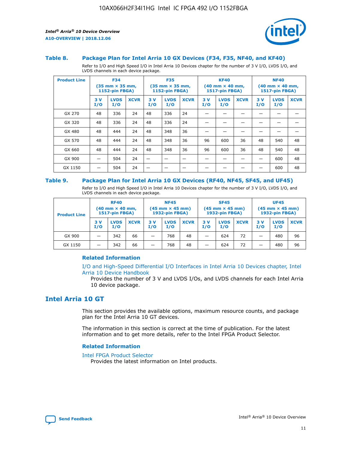

#### **Table 8. Package Plan for Intel Arria 10 GX Devices (F34, F35, NF40, and KF40)**

Refer to I/O and High Speed I/O in Intel Arria 10 Devices chapter for the number of 3 V I/O, LVDS I/O, and LVDS channels in each device package.

| <b>Product Line</b> | <b>F34</b><br>$(35 \text{ mm} \times 35 \text{ mm})$<br>1152-pin FBGA) |                    | <b>F35</b><br>$(35 \text{ mm} \times 35 \text{ mm})$<br><b>1152-pin FBGA)</b> |           | <b>KF40</b><br>$(40$ mm $\times$ 40 mm,<br>1517-pin FBGA) |             |           | <b>NF40</b><br>$(40 \text{ mm} \times 40 \text{ mm})$<br><b>1517-pin FBGA)</b> |             |            |                    |             |
|---------------------|------------------------------------------------------------------------|--------------------|-------------------------------------------------------------------------------|-----------|-----------------------------------------------------------|-------------|-----------|--------------------------------------------------------------------------------|-------------|------------|--------------------|-------------|
|                     | 3V<br>I/O                                                              | <b>LVDS</b><br>I/O | <b>XCVR</b>                                                                   | 3V<br>I/O | <b>LVDS</b><br>I/O                                        | <b>XCVR</b> | 3V<br>I/O | <b>LVDS</b><br>I/O                                                             | <b>XCVR</b> | 3 V<br>I/O | <b>LVDS</b><br>I/O | <b>XCVR</b> |
| GX 270              | 48                                                                     | 336                | 24                                                                            | 48        | 336                                                       | 24          |           |                                                                                |             |            |                    |             |
| GX 320              | 48                                                                     | 336                | 24                                                                            | 48        | 336                                                       | 24          |           |                                                                                |             |            |                    |             |
| GX 480              | 48                                                                     | 444                | 24                                                                            | 48        | 348                                                       | 36          |           |                                                                                |             |            |                    |             |
| GX 570              | 48                                                                     | 444                | 24                                                                            | 48        | 348                                                       | 36          | 96        | 600                                                                            | 36          | 48         | 540                | 48          |
| GX 660              | 48                                                                     | 444                | 24                                                                            | 48        | 348                                                       | 36          | 96        | 600                                                                            | 36          | 48         | 540                | 48          |
| GX 900              |                                                                        | 504                | 24                                                                            | –         |                                                           |             |           |                                                                                |             |            | 600                | 48          |
| GX 1150             |                                                                        | 504                | 24                                                                            |           |                                                           |             |           |                                                                                |             |            | 600                | 48          |

#### **Table 9. Package Plan for Intel Arria 10 GX Devices (RF40, NF45, SF45, and UF45)**

Refer to I/O and High Speed I/O in Intel Arria 10 Devices chapter for the number of 3 V I/O, LVDS I/O, and LVDS channels in each device package.

| <b>Product Line</b> | <b>RF40</b><br>$(40 \text{ mm} \times 40 \text{ mm})$<br>1517-pin FBGA) |                    | <b>NF45</b><br>$(45 \text{ mm} \times 45 \text{ mm})$<br><b>1932-pin FBGA)</b> |            |                    | <b>SF45</b><br>$(45 \text{ mm} \times 45 \text{ mm})$<br><b>1932-pin FBGA)</b> |            |                    | <b>UF45</b><br>$(45 \text{ mm} \times 45 \text{ mm})$<br>1932-pin FBGA) |           |                    |             |
|---------------------|-------------------------------------------------------------------------|--------------------|--------------------------------------------------------------------------------|------------|--------------------|--------------------------------------------------------------------------------|------------|--------------------|-------------------------------------------------------------------------|-----------|--------------------|-------------|
|                     | 3 V<br>I/O                                                              | <b>LVDS</b><br>I/O | <b>XCVR</b>                                                                    | 3 V<br>I/O | <b>LVDS</b><br>I/O | <b>XCVR</b>                                                                    | 3 V<br>I/O | <b>LVDS</b><br>I/O | <b>XCVR</b>                                                             | 3V<br>I/O | <b>LVDS</b><br>I/O | <b>XCVR</b> |
| GX 900              | _                                                                       | 342                | 66                                                                             | -          | 768                | 48                                                                             | -          | 624                | 72                                                                      | _         | 480                | 96          |
| GX 1150             |                                                                         | 342                | 66                                                                             | -          | 768                | 48                                                                             |            | 624                | 72                                                                      |           | 480                | 96          |

## **Related Information**

[I/O and High-Speed Differential I/O Interfaces in Intel Arria 10 Devices chapter, Intel](https://www.intel.com/content/www/us/en/programmable/documentation/sam1403482614086.html#sam1403482030321) [Arria 10 Device Handbook](https://www.intel.com/content/www/us/en/programmable/documentation/sam1403482614086.html#sam1403482030321)

Provides the number of 3 V and LVDS I/Os, and LVDS channels for each Intel Arria 10 device package.

## **Intel Arria 10 GT**

This section provides the available options, maximum resource counts, and package plan for the Intel Arria 10 GT devices.

The information in this section is correct at the time of publication. For the latest information and to get more details, refer to the Intel FPGA Product Selector.

#### **Related Information**

#### [Intel FPGA Product Selector](http://www.altera.com/products/selector/psg-selector.html)

Provides the latest information on Intel products.

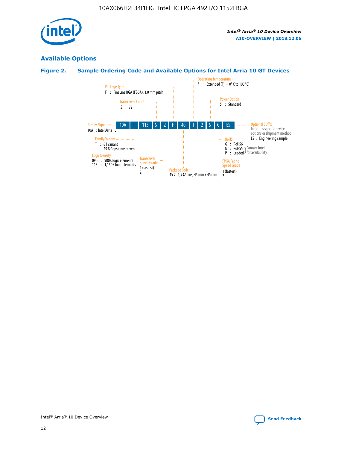

## **Available Options**

## **Figure 2. Sample Ordering Code and Available Options for Intel Arria 10 GT Devices**

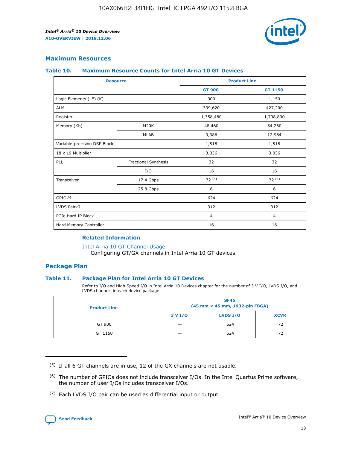

## **Maximum Resources**

#### **Table 10. Maximum Resource Counts for Intel Arria 10 GT Devices**

| <b>Resource</b>              |                      |                | <b>Product Line</b> |  |
|------------------------------|----------------------|----------------|---------------------|--|
|                              |                      | <b>GT 900</b>  | <b>GT 1150</b>      |  |
| Logic Elements (LE) (K)      |                      | 900            | 1,150               |  |
| <b>ALM</b>                   |                      | 339,620        | 427,200             |  |
| Register                     |                      | 1,358,480      | 1,708,800           |  |
| Memory (Kb)                  | M20K                 | 48,460         | 54,260              |  |
|                              | <b>MLAB</b>          | 9,386          | 12,984              |  |
| Variable-precision DSP Block |                      | 1,518          | 1,518               |  |
| 18 x 19 Multiplier           |                      | 3,036          | 3,036               |  |
| <b>PLL</b>                   | Fractional Synthesis | 32             | 32                  |  |
|                              | I/O                  | 16             | 16                  |  |
| Transceiver                  | 17.4 Gbps            | 72(5)          | 72(5)               |  |
|                              | 25.8 Gbps            | 6              | 6                   |  |
| GPIO <sup>(6)</sup>          |                      | 624            | 624                 |  |
| LVDS Pair $(7)$              |                      | 312            | 312                 |  |
| PCIe Hard IP Block           |                      | $\overline{4}$ | $\overline{4}$      |  |
| Hard Memory Controller       |                      | 16             | 16                  |  |

## **Related Information**

#### [Intel Arria 10 GT Channel Usage](https://www.intel.com/content/www/us/en/programmable/documentation/nik1398707230472.html#nik1398707008178)

Configuring GT/GX channels in Intel Arria 10 GT devices.

## **Package Plan**

## **Table 11. Package Plan for Intel Arria 10 GT Devices**

Refer to I/O and High Speed I/O in Intel Arria 10 Devices chapter for the number of 3 V I/O, LVDS I/O, and LVDS channels in each device package.

| <b>Product Line</b> | <b>SF45</b><br>(45 mm × 45 mm, 1932-pin FBGA) |                 |             |  |  |  |
|---------------------|-----------------------------------------------|-----------------|-------------|--|--|--|
|                     | 3 V I/O                                       | <b>LVDS I/O</b> | <b>XCVR</b> |  |  |  |
| GT 900              |                                               | 624             | 72          |  |  |  |
| GT 1150             |                                               | 624             | 72          |  |  |  |

<sup>(7)</sup> Each LVDS I/O pair can be used as differential input or output.



 $(5)$  If all 6 GT channels are in use, 12 of the GX channels are not usable.

<sup>(6)</sup> The number of GPIOs does not include transceiver I/Os. In the Intel Quartus Prime software, the number of user I/Os includes transceiver I/Os.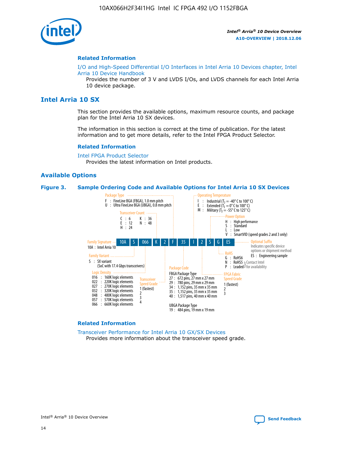

#### **Related Information**

[I/O and High-Speed Differential I/O Interfaces in Intel Arria 10 Devices chapter, Intel](https://www.intel.com/content/www/us/en/programmable/documentation/sam1403482614086.html#sam1403482030321) [Arria 10 Device Handbook](https://www.intel.com/content/www/us/en/programmable/documentation/sam1403482614086.html#sam1403482030321)

Provides the number of 3 V and LVDS I/Os, and LVDS channels for each Intel Arria 10 device package.

## **Intel Arria 10 SX**

This section provides the available options, maximum resource counts, and package plan for the Intel Arria 10 SX devices.

The information in this section is correct at the time of publication. For the latest information and to get more details, refer to the Intel FPGA Product Selector.

#### **Related Information**

[Intel FPGA Product Selector](http://www.altera.com/products/selector/psg-selector.html) Provides the latest information on Intel products.

## **Available Options**

#### **Figure 3. Sample Ordering Code and Available Options for Intel Arria 10 SX Devices**



#### **Related Information**

[Transceiver Performance for Intel Arria 10 GX/SX Devices](https://www.intel.com/content/www/us/en/programmable/documentation/mcn1413182292568.html#mcn1413213965502) Provides more information about the transceiver speed grade.

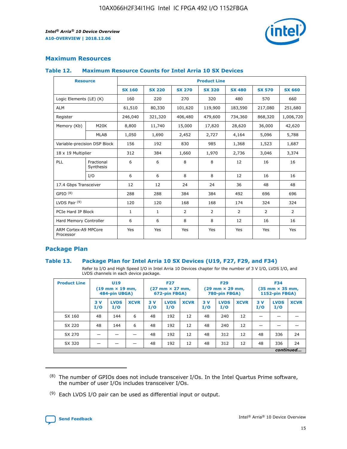

## **Maximum Resources**

## **Table 12. Maximum Resource Counts for Intel Arria 10 SX Devices**

| <b>Resource</b>                   |                         | <b>Product Line</b> |               |                |                |               |                |               |  |  |  |
|-----------------------------------|-------------------------|---------------------|---------------|----------------|----------------|---------------|----------------|---------------|--|--|--|
|                                   |                         | <b>SX 160</b>       | <b>SX 220</b> | <b>SX 270</b>  | <b>SX 320</b>  | <b>SX 480</b> | <b>SX 570</b>  | <b>SX 660</b> |  |  |  |
| Logic Elements (LE) (K)           |                         | 160                 | 220           | 270            | 320            | 480           | 570            | 660           |  |  |  |
| <b>ALM</b>                        |                         | 61,510              | 80,330        | 101,620        | 119,900        | 183,590       | 217,080        | 251,680       |  |  |  |
| Register                          |                         | 246,040             | 321,320       | 406,480        | 479,600        | 734,360       | 868,320        | 1,006,720     |  |  |  |
| Memory (Kb)                       | <b>M20K</b>             | 8,800               | 11,740        | 15,000         | 17,820         | 28,620        | 36,000         | 42,620        |  |  |  |
|                                   | <b>MLAB</b>             | 1,050               | 1,690         | 2,452          | 2,727          | 4,164         | 5,096          | 5,788         |  |  |  |
| Variable-precision DSP Block      |                         | 156                 | 192           | 830            | 985            | 1,368         | 1,523          | 1,687         |  |  |  |
|                                   | 18 x 19 Multiplier      |                     | 384           | 1,660          | 1,970          | 2,736         | 3,046          | 3,374         |  |  |  |
| PLL                               | Fractional<br>Synthesis | 6                   | 6             | 8              | 8              | 12            | 16             | 16            |  |  |  |
|                                   | I/O                     | 6                   | 6             | 8              | 8              | 12            | 16             | 16            |  |  |  |
| 17.4 Gbps Transceiver             |                         | 12                  | 12            | 24             | 24             | 36            | 48             | 48            |  |  |  |
| GPIO <sup>(8)</sup>               |                         | 288                 | 288           | 384            | 384            | 492           | 696            | 696           |  |  |  |
| LVDS Pair $(9)$                   |                         | 120                 | 120           | 168            | 168            | 174           | 324            | 324           |  |  |  |
| PCIe Hard IP Block                |                         | $\mathbf{1}$        | 1             | $\overline{2}$ | $\overline{2}$ | 2             | $\overline{2}$ | 2             |  |  |  |
| Hard Memory Controller            |                         | 6                   | 6             | 8              | 8              | 12            | 16             | 16            |  |  |  |
| ARM Cortex-A9 MPCore<br>Processor |                         | Yes                 | Yes           | Yes            | Yes            | Yes           | Yes            | Yes           |  |  |  |

## **Package Plan**

## **Table 13. Package Plan for Intel Arria 10 SX Devices (U19, F27, F29, and F34)**

Refer to I/O and High Speed I/O in Intel Arria 10 Devices chapter for the number of 3 V I/O, LVDS I/O, and LVDS channels in each device package.

| <b>Product Line</b> | <b>U19</b><br>$(19 \text{ mm} \times 19 \text{ mm})$<br>484-pin UBGA) |                    |             | <b>F27</b><br>$(27 \text{ mm} \times 27 \text{ mm})$<br>672-pin FBGA) |                    | <b>F29</b><br>$(29 \text{ mm} \times 29 \text{ mm})$<br>780-pin FBGA) |           |                    | <b>F34</b><br>$(35 \text{ mm} \times 35 \text{ mm})$<br><b>1152-pin FBGA)</b> |           |                    |             |
|---------------------|-----------------------------------------------------------------------|--------------------|-------------|-----------------------------------------------------------------------|--------------------|-----------------------------------------------------------------------|-----------|--------------------|-------------------------------------------------------------------------------|-----------|--------------------|-------------|
|                     | 3V<br>I/O                                                             | <b>LVDS</b><br>I/O | <b>XCVR</b> | 3V<br>I/O                                                             | <b>LVDS</b><br>I/O | <b>XCVR</b>                                                           | 3V<br>I/O | <b>LVDS</b><br>I/O | <b>XCVR</b>                                                                   | 3V<br>I/O | <b>LVDS</b><br>I/O | <b>XCVR</b> |
| SX 160              | 48                                                                    | 144                | 6           | 48                                                                    | 192                | 12                                                                    | 48        | 240                | 12                                                                            | -         |                    |             |
| SX 220              | 48                                                                    | 144                | 6           | 48                                                                    | 192                | 12                                                                    | 48        | 240                | 12                                                                            |           |                    |             |
| SX 270              |                                                                       |                    |             | 48                                                                    | 192                | 12                                                                    | 48        | 312                | 12                                                                            | 48        | 336                | 24          |
| SX 320              |                                                                       |                    |             | 48                                                                    | 192                | 12                                                                    | 48        | 312                | 12                                                                            | 48        | 336                | 24          |
|                     | continued                                                             |                    |             |                                                                       |                    |                                                                       |           |                    |                                                                               |           |                    |             |

 $(8)$  The number of GPIOs does not include transceiver I/Os. In the Intel Quartus Prime software, the number of user I/Os includes transceiver I/Os.

 $(9)$  Each LVDS I/O pair can be used as differential input or output.

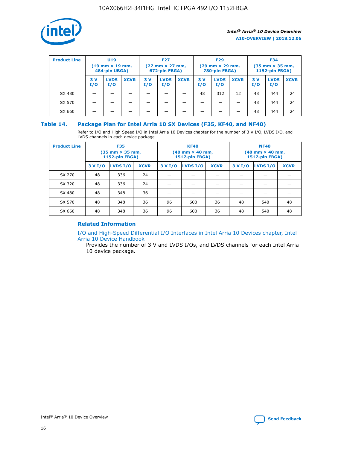

| <b>Product Line</b> | U <sub>19</sub><br>$(19 \text{ mm} \times 19 \text{ mm})$<br>484-pin UBGA) |                    | <b>F27</b><br>$(27 \text{ mm} \times 27 \text{ mm})$<br>672-pin FBGA) |           | <b>F29</b><br>$(29 \text{ mm} \times 29 \text{ mm})$<br>780-pin FBGA) |             |           | <b>F34</b><br>$(35 \text{ mm} \times 35 \text{ mm})$<br><b>1152-pin FBGA)</b> |             |           |                    |             |
|---------------------|----------------------------------------------------------------------------|--------------------|-----------------------------------------------------------------------|-----------|-----------------------------------------------------------------------|-------------|-----------|-------------------------------------------------------------------------------|-------------|-----------|--------------------|-------------|
|                     | 3 V<br>I/O                                                                 | <b>LVDS</b><br>I/O | <b>XCVR</b>                                                           | 3V<br>I/O | <b>LVDS</b><br>I/O                                                    | <b>XCVR</b> | 3V<br>I/O | <b>LVDS</b><br>I/O                                                            | <b>XCVR</b> | 3V<br>I/O | <b>LVDS</b><br>I/O | <b>XCVR</b> |
| SX 480              |                                                                            |                    |                                                                       |           |                                                                       |             | 48        | 312                                                                           | 12          | 48        | 444                | 24          |
| SX 570              |                                                                            |                    |                                                                       |           |                                                                       |             |           |                                                                               |             | 48        | 444                | 24          |
| SX 660              |                                                                            |                    |                                                                       |           |                                                                       |             |           |                                                                               |             | 48        | 444                | 24          |

## **Table 14. Package Plan for Intel Arria 10 SX Devices (F35, KF40, and NF40)**

Refer to I/O and High Speed I/O in Intel Arria 10 Devices chapter for the number of 3 V I/O, LVDS I/O, and LVDS channels in each device package.

| <b>Product Line</b> | <b>F35</b><br>(35 mm × 35 mm,<br>1152-pin FBGA) |          |             |                                           | <b>KF40</b><br>(40 mm × 40 mm,<br>1517-pin FBGA) |    | <b>NF40</b><br>(40 mm × 40 mm,<br>1517-pin FBGA) |          |             |  |
|---------------------|-------------------------------------------------|----------|-------------|-------------------------------------------|--------------------------------------------------|----|--------------------------------------------------|----------|-------------|--|
|                     | 3 V I/O                                         | LVDS I/O | <b>XCVR</b> | <b>LVDS I/O</b><br>3 V I/O<br><b>XCVR</b> |                                                  |    | 3 V I/O                                          | LVDS I/O | <b>XCVR</b> |  |
| SX 270              | 48                                              | 336      | 24          |                                           |                                                  |    |                                                  |          |             |  |
| SX 320              | 48                                              | 336      | 24          |                                           |                                                  |    |                                                  |          |             |  |
| SX 480              | 48                                              | 348      | 36          |                                           |                                                  |    |                                                  |          |             |  |
| SX 570              | 48                                              | 348      | 36          | 96                                        | 600                                              | 36 | 48                                               | 540      | 48          |  |
| SX 660              | 48                                              | 348      | 36          | 96                                        | 600                                              | 36 | 48                                               | 540      | 48          |  |

## **Related Information**

[I/O and High-Speed Differential I/O Interfaces in Intel Arria 10 Devices chapter, Intel](https://www.intel.com/content/www/us/en/programmable/documentation/sam1403482614086.html#sam1403482030321) [Arria 10 Device Handbook](https://www.intel.com/content/www/us/en/programmable/documentation/sam1403482614086.html#sam1403482030321)

Provides the number of 3 V and LVDS I/Os, and LVDS channels for each Intel Arria 10 device package.

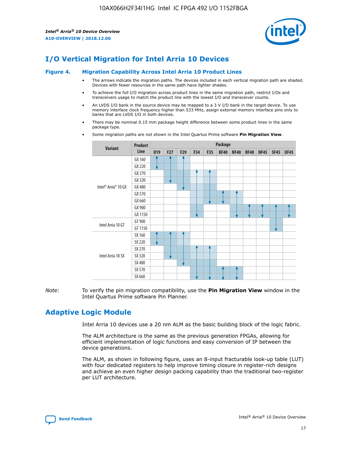

## **I/O Vertical Migration for Intel Arria 10 Devices**

#### **Figure 4. Migration Capability Across Intel Arria 10 Product Lines**

- The arrows indicate the migration paths. The devices included in each vertical migration path are shaded. Devices with fewer resources in the same path have lighter shades.
- To achieve the full I/O migration across product lines in the same migration path, restrict I/Os and transceivers usage to match the product line with the lowest I/O and transceiver counts.
- An LVDS I/O bank in the source device may be mapped to a 3 V I/O bank in the target device. To use memory interface clock frequency higher than 533 MHz, assign external memory interface pins only to banks that are LVDS I/O in both devices.
- There may be nominal 0.15 mm package height difference between some product lines in the same package type.
	- **Variant Product Line Package U19 F27 F29 F34 F35 KF40 NF40 RF40 NF45 SF45 UF45** Intel® Arria® 10 GX GX 160 GX 220 GX 270 GX 320 GX 480 GX 570 GX 660 GX 900 GX 1150 Intel Arria 10 GT GT 900 GT 1150 Intel Arria 10 SX SX 160 SX 220 SX 270 SX 320 SX 480 SX 570 SX 660
- Some migration paths are not shown in the Intel Quartus Prime software **Pin Migration View**.

*Note:* To verify the pin migration compatibility, use the **Pin Migration View** window in the Intel Quartus Prime software Pin Planner.

## **Adaptive Logic Module**

Intel Arria 10 devices use a 20 nm ALM as the basic building block of the logic fabric.

The ALM architecture is the same as the previous generation FPGAs, allowing for efficient implementation of logic functions and easy conversion of IP between the device generations.

The ALM, as shown in following figure, uses an 8-input fracturable look-up table (LUT) with four dedicated registers to help improve timing closure in register-rich designs and achieve an even higher design packing capability than the traditional two-register per LUT architecture.

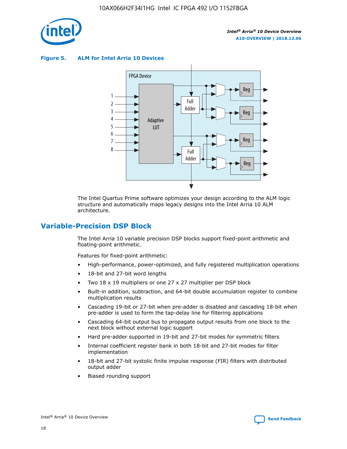

**Figure 5. ALM for Intel Arria 10 Devices**



The Intel Quartus Prime software optimizes your design according to the ALM logic structure and automatically maps legacy designs into the Intel Arria 10 ALM architecture.

## **Variable-Precision DSP Block**

The Intel Arria 10 variable precision DSP blocks support fixed-point arithmetic and floating-point arithmetic.

Features for fixed-point arithmetic:

- High-performance, power-optimized, and fully registered multiplication operations
- 18-bit and 27-bit word lengths
- Two 18 x 19 multipliers or one 27 x 27 multiplier per DSP block
- Built-in addition, subtraction, and 64-bit double accumulation register to combine multiplication results
- Cascading 19-bit or 27-bit when pre-adder is disabled and cascading 18-bit when pre-adder is used to form the tap-delay line for filtering applications
- Cascading 64-bit output bus to propagate output results from one block to the next block without external logic support
- Hard pre-adder supported in 19-bit and 27-bit modes for symmetric filters
- Internal coefficient register bank in both 18-bit and 27-bit modes for filter implementation
- 18-bit and 27-bit systolic finite impulse response (FIR) filters with distributed output adder
- Biased rounding support

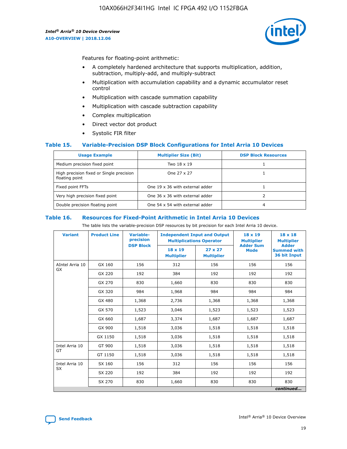

Features for floating-point arithmetic:

- A completely hardened architecture that supports multiplication, addition, subtraction, multiply-add, and multiply-subtract
- Multiplication with accumulation capability and a dynamic accumulator reset control
- Multiplication with cascade summation capability
- Multiplication with cascade subtraction capability
- Complex multiplication
- Direct vector dot product
- Systolic FIR filter

## **Table 15. Variable-Precision DSP Block Configurations for Intel Arria 10 Devices**

| <b>Usage Example</b>                                       | <b>Multiplier Size (Bit)</b>    | <b>DSP Block Resources</b> |
|------------------------------------------------------------|---------------------------------|----------------------------|
| Medium precision fixed point                               | Two 18 x 19                     |                            |
| High precision fixed or Single precision<br>floating point | One 27 x 27                     |                            |
| Fixed point FFTs                                           | One 19 x 36 with external adder |                            |
| Very high precision fixed point                            | One 36 x 36 with external adder |                            |
| Double precision floating point                            | One 54 x 54 with external adder | 4                          |

#### **Table 16. Resources for Fixed-Point Arithmetic in Intel Arria 10 Devices**

The table lists the variable-precision DSP resources by bit precision for each Intel Arria 10 device.

| <b>Variant</b>        | <b>Product Line</b> | <b>Variable-</b><br>precision<br><b>DSP Block</b> | <b>Independent Input and Output</b><br><b>Multiplications Operator</b> |                                     | 18 x 19<br><b>Multiplier</b><br><b>Adder Sum</b> | $18 \times 18$<br><b>Multiplier</b><br><b>Adder</b> |
|-----------------------|---------------------|---------------------------------------------------|------------------------------------------------------------------------|-------------------------------------|--------------------------------------------------|-----------------------------------------------------|
|                       |                     |                                                   | 18 x 19<br><b>Multiplier</b>                                           | $27 \times 27$<br><b>Multiplier</b> | <b>Mode</b>                                      | <b>Summed with</b><br>36 bit Input                  |
| AIntel Arria 10<br>GX | GX 160              | 156                                               | 312                                                                    | 156                                 | 156                                              | 156                                                 |
|                       | GX 220              | 192                                               | 384                                                                    | 192                                 | 192                                              | 192                                                 |
|                       | GX 270              | 830                                               | 1,660                                                                  | 830                                 | 830                                              | 830                                                 |
|                       | GX 320              | 984                                               | 1,968                                                                  | 984                                 | 984                                              | 984                                                 |
|                       | GX 480              | 1,368                                             | 2,736                                                                  | 1,368                               | 1,368                                            | 1,368                                               |
|                       | GX 570              | 1,523                                             | 3,046                                                                  | 1,523                               | 1,523                                            | 1,523                                               |
|                       | GX 660              | 1,687                                             | 3,374                                                                  | 1,687                               | 1,687                                            | 1,687                                               |
|                       | GX 900              | 1,518                                             | 3,036                                                                  | 1,518                               | 1,518                                            | 1,518                                               |
|                       | GX 1150             | 1,518                                             | 3,036                                                                  | 1,518                               | 1,518                                            | 1,518                                               |
| Intel Arria 10        | GT 900              | 1,518                                             | 3,036                                                                  | 1,518                               | 1,518                                            | 1,518                                               |
| GT                    | GT 1150             | 1,518                                             | 3,036                                                                  | 1,518                               | 1,518                                            | 1,518                                               |
| Intel Arria 10        | SX 160              | 156                                               | 312                                                                    | 156                                 | 156                                              | 156                                                 |
| <b>SX</b>             | SX 220              | 192                                               | 384                                                                    | 192                                 | 192                                              | 192                                                 |
|                       | SX 270              | 830                                               | 1,660                                                                  | 830                                 | 830                                              | 830                                                 |
|                       |                     |                                                   |                                                                        |                                     |                                                  | continued                                           |

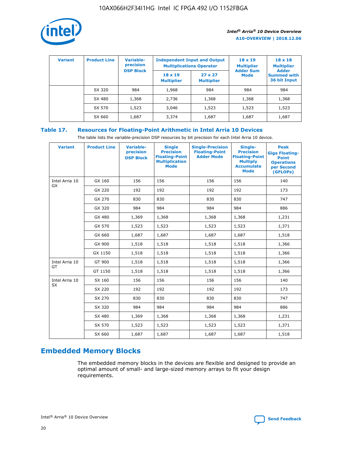

| <b>Variant</b> | <b>Product Line</b> | <b>Variable-</b><br>precision |                                     | <b>Independent Input and Output</b><br><b>Multiplications Operator</b> | $18 \times 19$<br><b>Multiplier</b> | $18 \times 18$<br><b>Multiplier</b>                |
|----------------|---------------------|-------------------------------|-------------------------------------|------------------------------------------------------------------------|-------------------------------------|----------------------------------------------------|
|                |                     | <b>DSP Block</b>              | $18 \times 19$<br><b>Multiplier</b> | $27 \times 27$<br><b>Multiplier</b>                                    | <b>Adder Sum</b><br><b>Mode</b>     | <b>Adder</b><br><b>Summed with</b><br>36 bit Input |
|                | SX 320              | 984                           | 1,968                               | 984                                                                    | 984                                 | 984                                                |
|                | SX 480              | 1,368                         | 2,736                               | 1,368                                                                  | 1,368                               | 1,368                                              |
|                | SX 570              | 1,523                         | 3,046                               | 1,523                                                                  | 1,523                               | 1,523                                              |
|                | SX 660              | 1,687                         | 3,374                               | 1,687                                                                  | 1,687                               | 1,687                                              |

## **Table 17. Resources for Floating-Point Arithmetic in Intel Arria 10 Devices**

The table lists the variable-precision DSP resources by bit precision for each Intel Arria 10 device.

| <b>Variant</b> | <b>Product Line</b> | <b>Variable-</b><br>precision<br><b>DSP Block</b> | <b>Single</b><br><b>Precision</b><br><b>Floating-Point</b><br><b>Multiplication</b><br><b>Mode</b> | <b>Single-Precision</b><br><b>Floating-Point</b><br><b>Adder Mode</b> | Single-<br><b>Precision</b><br><b>Floating-Point</b><br><b>Multiply</b><br><b>Accumulate</b><br><b>Mode</b> | <b>Peak</b><br><b>Giga Floating-</b><br><b>Point</b><br><b>Operations</b><br>per Second<br>(GFLOPs) |
|----------------|---------------------|---------------------------------------------------|----------------------------------------------------------------------------------------------------|-----------------------------------------------------------------------|-------------------------------------------------------------------------------------------------------------|-----------------------------------------------------------------------------------------------------|
| Intel Arria 10 | GX 160              | 156                                               | 156                                                                                                | 156                                                                   | 156                                                                                                         | 140                                                                                                 |
| <b>GX</b>      | GX 220              | 192                                               | 192                                                                                                | 192                                                                   | 192                                                                                                         | 173                                                                                                 |
|                | GX 270              | 830                                               | 830                                                                                                | 830                                                                   | 830                                                                                                         | 747                                                                                                 |
|                | GX 320              | 984                                               | 984                                                                                                | 984                                                                   | 984                                                                                                         | 886                                                                                                 |
|                | GX 480              | 1,369                                             | 1,368                                                                                              | 1,368                                                                 | 1,368                                                                                                       | 1,231                                                                                               |
|                | GX 570              | 1,523                                             | 1,523                                                                                              | 1,523                                                                 | 1,523                                                                                                       | 1,371                                                                                               |
|                | GX 660              | 1,687                                             | 1,687                                                                                              | 1,687                                                                 | 1,687                                                                                                       | 1,518                                                                                               |
|                | GX 900              | 1,518                                             | 1,518                                                                                              | 1,518                                                                 | 1,518                                                                                                       | 1,366                                                                                               |
|                | GX 1150             | 1,518                                             | 1,518                                                                                              | 1,518                                                                 | 1,518                                                                                                       | 1,366                                                                                               |
| Intel Arria 10 | GT 900              | 1,518                                             | 1,518                                                                                              | 1,518                                                                 | 1,518                                                                                                       | 1,366                                                                                               |
| GT             | GT 1150             | 1,518                                             | 1,518                                                                                              | 1,518                                                                 | 1,518                                                                                                       | 1,366                                                                                               |
| Intel Arria 10 | SX 160              | 156                                               | 156                                                                                                | 156                                                                   | 156                                                                                                         | 140                                                                                                 |
| SX             | SX 220              | 192                                               | 192                                                                                                | 192                                                                   | 192                                                                                                         | 173                                                                                                 |
|                | SX 270              | 830                                               | 830                                                                                                | 830                                                                   | 830                                                                                                         | 747                                                                                                 |
|                | SX 320              | 984                                               | 984                                                                                                | 984                                                                   | 984                                                                                                         | 886                                                                                                 |
|                | SX 480              | 1,369                                             | 1,368                                                                                              | 1,368                                                                 | 1,368                                                                                                       | 1,231                                                                                               |
|                | SX 570              | 1,523                                             | 1,523                                                                                              | 1,523                                                                 | 1,523                                                                                                       | 1,371                                                                                               |
|                | SX 660              | 1,687                                             | 1,687                                                                                              | 1,687                                                                 | 1,687                                                                                                       | 1,518                                                                                               |

# **Embedded Memory Blocks**

The embedded memory blocks in the devices are flexible and designed to provide an optimal amount of small- and large-sized memory arrays to fit your design requirements.

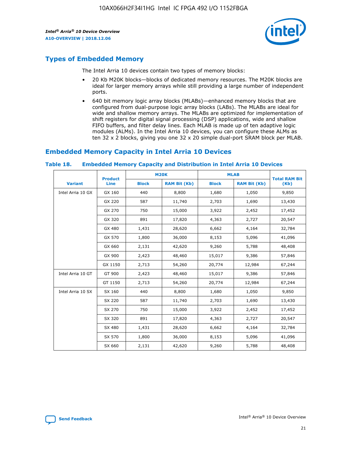

## **Types of Embedded Memory**

The Intel Arria 10 devices contain two types of memory blocks:

- 20 Kb M20K blocks—blocks of dedicated memory resources. The M20K blocks are ideal for larger memory arrays while still providing a large number of independent ports.
- 640 bit memory logic array blocks (MLABs)—enhanced memory blocks that are configured from dual-purpose logic array blocks (LABs). The MLABs are ideal for wide and shallow memory arrays. The MLABs are optimized for implementation of shift registers for digital signal processing (DSP) applications, wide and shallow FIFO buffers, and filter delay lines. Each MLAB is made up of ten adaptive logic modules (ALMs). In the Intel Arria 10 devices, you can configure these ALMs as ten 32 x 2 blocks, giving you one 32 x 20 simple dual-port SRAM block per MLAB.

## **Embedded Memory Capacity in Intel Arria 10 Devices**

|                   | <b>Product</b> |              | <b>M20K</b>         | <b>MLAB</b>  |                     | <b>Total RAM Bit</b> |
|-------------------|----------------|--------------|---------------------|--------------|---------------------|----------------------|
| <b>Variant</b>    | <b>Line</b>    | <b>Block</b> | <b>RAM Bit (Kb)</b> | <b>Block</b> | <b>RAM Bit (Kb)</b> | (Kb)                 |
| Intel Arria 10 GX | GX 160         | 440          | 8,800               | 1,680        | 1,050               | 9,850                |
|                   | GX 220         | 587          | 11,740              | 2,703        | 1,690               | 13,430               |
|                   | GX 270         | 750          | 15,000              | 3,922        | 2,452               | 17,452               |
|                   | GX 320         | 891          | 17,820              | 4,363        | 2,727               | 20,547               |
|                   | GX 480         | 1,431        | 28,620              | 6,662        | 4,164               | 32,784               |
|                   | GX 570         | 1,800        | 36,000              | 8,153        | 5,096               | 41,096               |
|                   | GX 660         | 2,131        | 42,620              | 9,260        | 5,788               | 48,408               |
|                   | GX 900         | 2,423        | 48,460              | 15,017       | 9,386               | 57,846               |
|                   | GX 1150        | 2,713        | 54,260              | 20,774       | 12,984              | 67,244               |
| Intel Arria 10 GT | GT 900         | 2,423        | 48,460              | 15,017       | 9,386               | 57,846               |
|                   | GT 1150        | 2,713        | 54,260              | 20,774       | 12,984              | 67,244               |
| Intel Arria 10 SX | SX 160         | 440          | 8,800               | 1,680        | 1,050               | 9,850                |
|                   | SX 220         | 587          | 11,740              | 2,703        | 1,690               | 13,430               |
|                   | SX 270         | 750          | 15,000              | 3,922        | 2,452               | 17,452               |
|                   | SX 320         | 891          | 17,820              | 4,363        | 2,727               | 20,547               |
|                   | SX 480         | 1,431        | 28,620              | 6,662        | 4,164               | 32,784               |
|                   | SX 570         | 1,800        | 36,000              | 8,153        | 5,096               | 41,096               |
|                   | SX 660         | 2,131        | 42,620              | 9,260        | 5,788               | 48,408               |

#### **Table 18. Embedded Memory Capacity and Distribution in Intel Arria 10 Devices**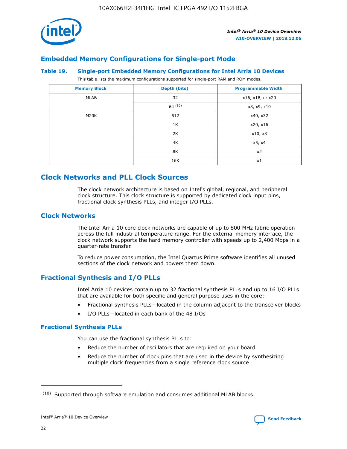

## **Embedded Memory Configurations for Single-port Mode**

#### **Table 19. Single-port Embedded Memory Configurations for Intel Arria 10 Devices**

This table lists the maximum configurations supported for single-port RAM and ROM modes.

| <b>Memory Block</b> | Depth (bits) | <b>Programmable Width</b> |
|---------------------|--------------|---------------------------|
| MLAB                | 32           | x16, x18, or x20          |
|                     | 64(10)       | x8, x9, x10               |
| M20K                | 512          | x40, x32                  |
|                     | 1K           | x20, x16                  |
|                     | 2K           | x10, x8                   |
|                     | 4K           | x5, x4                    |
|                     | 8K           | x2                        |
|                     | 16K          | x1                        |

## **Clock Networks and PLL Clock Sources**

The clock network architecture is based on Intel's global, regional, and peripheral clock structure. This clock structure is supported by dedicated clock input pins, fractional clock synthesis PLLs, and integer I/O PLLs.

## **Clock Networks**

The Intel Arria 10 core clock networks are capable of up to 800 MHz fabric operation across the full industrial temperature range. For the external memory interface, the clock network supports the hard memory controller with speeds up to 2,400 Mbps in a quarter-rate transfer.

To reduce power consumption, the Intel Quartus Prime software identifies all unused sections of the clock network and powers them down.

## **Fractional Synthesis and I/O PLLs**

Intel Arria 10 devices contain up to 32 fractional synthesis PLLs and up to 16 I/O PLLs that are available for both specific and general purpose uses in the core:

- Fractional synthesis PLLs—located in the column adjacent to the transceiver blocks
- I/O PLLs—located in each bank of the 48 I/Os

## **Fractional Synthesis PLLs**

You can use the fractional synthesis PLLs to:

- Reduce the number of oscillators that are required on your board
- Reduce the number of clock pins that are used in the device by synthesizing multiple clock frequencies from a single reference clock source

<sup>(10)</sup> Supported through software emulation and consumes additional MLAB blocks.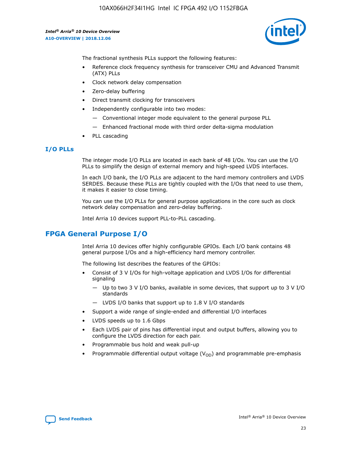

The fractional synthesis PLLs support the following features:

- Reference clock frequency synthesis for transceiver CMU and Advanced Transmit (ATX) PLLs
- Clock network delay compensation
- Zero-delay buffering
- Direct transmit clocking for transceivers
- Independently configurable into two modes:
	- Conventional integer mode equivalent to the general purpose PLL
	- Enhanced fractional mode with third order delta-sigma modulation
- PLL cascading

## **I/O PLLs**

The integer mode I/O PLLs are located in each bank of 48 I/Os. You can use the I/O PLLs to simplify the design of external memory and high-speed LVDS interfaces.

In each I/O bank, the I/O PLLs are adjacent to the hard memory controllers and LVDS SERDES. Because these PLLs are tightly coupled with the I/Os that need to use them, it makes it easier to close timing.

You can use the I/O PLLs for general purpose applications in the core such as clock network delay compensation and zero-delay buffering.

Intel Arria 10 devices support PLL-to-PLL cascading.

## **FPGA General Purpose I/O**

Intel Arria 10 devices offer highly configurable GPIOs. Each I/O bank contains 48 general purpose I/Os and a high-efficiency hard memory controller.

The following list describes the features of the GPIOs:

- Consist of 3 V I/Os for high-voltage application and LVDS I/Os for differential signaling
	- Up to two 3 V I/O banks, available in some devices, that support up to 3 V I/O standards
	- LVDS I/O banks that support up to 1.8 V I/O standards
- Support a wide range of single-ended and differential I/O interfaces
- LVDS speeds up to 1.6 Gbps
- Each LVDS pair of pins has differential input and output buffers, allowing you to configure the LVDS direction for each pair.
- Programmable bus hold and weak pull-up
- Programmable differential output voltage  $(V_{OD})$  and programmable pre-emphasis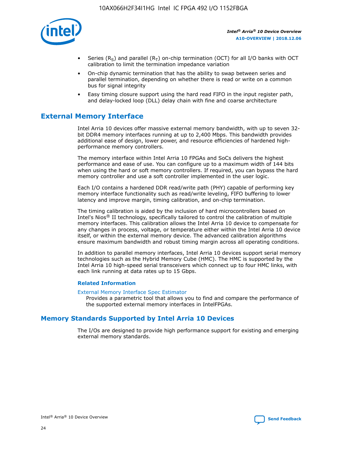

- Series (R<sub>S</sub>) and parallel (R<sub>T</sub>) on-chip termination (OCT) for all I/O banks with OCT calibration to limit the termination impedance variation
- On-chip dynamic termination that has the ability to swap between series and parallel termination, depending on whether there is read or write on a common bus for signal integrity
- Easy timing closure support using the hard read FIFO in the input register path, and delay-locked loop (DLL) delay chain with fine and coarse architecture

## **External Memory Interface**

Intel Arria 10 devices offer massive external memory bandwidth, with up to seven 32 bit DDR4 memory interfaces running at up to 2,400 Mbps. This bandwidth provides additional ease of design, lower power, and resource efficiencies of hardened highperformance memory controllers.

The memory interface within Intel Arria 10 FPGAs and SoCs delivers the highest performance and ease of use. You can configure up to a maximum width of 144 bits when using the hard or soft memory controllers. If required, you can bypass the hard memory controller and use a soft controller implemented in the user logic.

Each I/O contains a hardened DDR read/write path (PHY) capable of performing key memory interface functionality such as read/write leveling, FIFO buffering to lower latency and improve margin, timing calibration, and on-chip termination.

The timing calibration is aided by the inclusion of hard microcontrollers based on Intel's Nios® II technology, specifically tailored to control the calibration of multiple memory interfaces. This calibration allows the Intel Arria 10 device to compensate for any changes in process, voltage, or temperature either within the Intel Arria 10 device itself, or within the external memory device. The advanced calibration algorithms ensure maximum bandwidth and robust timing margin across all operating conditions.

In addition to parallel memory interfaces, Intel Arria 10 devices support serial memory technologies such as the Hybrid Memory Cube (HMC). The HMC is supported by the Intel Arria 10 high-speed serial transceivers which connect up to four HMC links, with each link running at data rates up to 15 Gbps.

## **Related Information**

#### [External Memory Interface Spec Estimator](http://www.altera.com/technology/memory/estimator/mem-emif-index.html)

Provides a parametric tool that allows you to find and compare the performance of the supported external memory interfaces in IntelFPGAs.

## **Memory Standards Supported by Intel Arria 10 Devices**

The I/Os are designed to provide high performance support for existing and emerging external memory standards.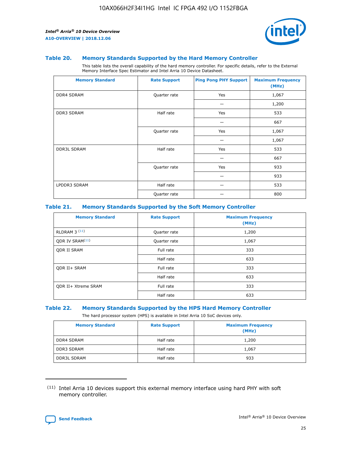

#### **Table 20. Memory Standards Supported by the Hard Memory Controller**

This table lists the overall capability of the hard memory controller. For specific details, refer to the External Memory Interface Spec Estimator and Intel Arria 10 Device Datasheet.

| <b>Memory Standard</b> | <b>Rate Support</b> | <b>Ping Pong PHY Support</b> | <b>Maximum Frequency</b><br>(MHz) |
|------------------------|---------------------|------------------------------|-----------------------------------|
| <b>DDR4 SDRAM</b>      | Quarter rate        | Yes                          | 1,067                             |
|                        |                     |                              | 1,200                             |
| DDR3 SDRAM             | Half rate           | Yes                          | 533                               |
|                        |                     |                              | 667                               |
|                        | Quarter rate        | Yes                          | 1,067                             |
|                        |                     |                              | 1,067                             |
| <b>DDR3L SDRAM</b>     | Half rate           | Yes                          | 533                               |
|                        |                     |                              | 667                               |
|                        | Quarter rate        | Yes                          | 933                               |
|                        |                     |                              | 933                               |
| LPDDR3 SDRAM           | Half rate           |                              | 533                               |
|                        | Quarter rate        |                              | 800                               |

## **Table 21. Memory Standards Supported by the Soft Memory Controller**

| <b>Memory Standard</b>      | <b>Rate Support</b> | <b>Maximum Frequency</b><br>(MHz) |
|-----------------------------|---------------------|-----------------------------------|
| <b>RLDRAM 3 (11)</b>        | Quarter rate        | 1,200                             |
| ODR IV SRAM <sup>(11)</sup> | Quarter rate        | 1,067                             |
| <b>ODR II SRAM</b>          | Full rate           | 333                               |
|                             | Half rate           | 633                               |
| <b>ODR II+ SRAM</b>         | Full rate           | 333                               |
|                             | Half rate           | 633                               |
| <b>ODR II+ Xtreme SRAM</b>  | Full rate           | 333                               |
|                             | Half rate           | 633                               |

#### **Table 22. Memory Standards Supported by the HPS Hard Memory Controller**

The hard processor system (HPS) is available in Intel Arria 10 SoC devices only.

| <b>Memory Standard</b> | <b>Rate Support</b> | <b>Maximum Frequency</b><br>(MHz) |
|------------------------|---------------------|-----------------------------------|
| <b>DDR4 SDRAM</b>      | Half rate           | 1,200                             |
| <b>DDR3 SDRAM</b>      | Half rate           | 1,067                             |
| <b>DDR3L SDRAM</b>     | Half rate           | 933                               |

<sup>(11)</sup> Intel Arria 10 devices support this external memory interface using hard PHY with soft memory controller.

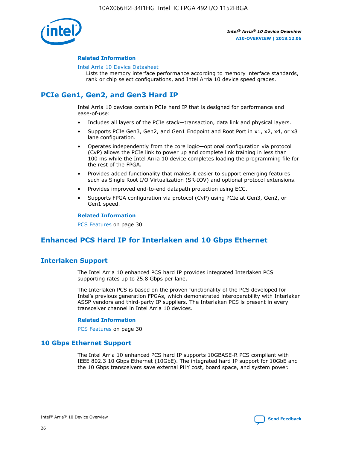

## **Related Information**

#### [Intel Arria 10 Device Datasheet](https://www.intel.com/content/www/us/en/programmable/documentation/mcn1413182292568.html#mcn1413182153340)

Lists the memory interface performance according to memory interface standards, rank or chip select configurations, and Intel Arria 10 device speed grades.

## **PCIe Gen1, Gen2, and Gen3 Hard IP**

Intel Arria 10 devices contain PCIe hard IP that is designed for performance and ease-of-use:

- Includes all layers of the PCIe stack—transaction, data link and physical layers.
- Supports PCIe Gen3, Gen2, and Gen1 Endpoint and Root Port in x1, x2, x4, or x8 lane configuration.
- Operates independently from the core logic—optional configuration via protocol (CvP) allows the PCIe link to power up and complete link training in less than 100 ms while the Intel Arria 10 device completes loading the programming file for the rest of the FPGA.
- Provides added functionality that makes it easier to support emerging features such as Single Root I/O Virtualization (SR-IOV) and optional protocol extensions.
- Provides improved end-to-end datapath protection using ECC.
- Supports FPGA configuration via protocol (CvP) using PCIe at Gen3, Gen2, or Gen1 speed.

#### **Related Information**

PCS Features on page 30

## **Enhanced PCS Hard IP for Interlaken and 10 Gbps Ethernet**

## **Interlaken Support**

The Intel Arria 10 enhanced PCS hard IP provides integrated Interlaken PCS supporting rates up to 25.8 Gbps per lane.

The Interlaken PCS is based on the proven functionality of the PCS developed for Intel's previous generation FPGAs, which demonstrated interoperability with Interlaken ASSP vendors and third-party IP suppliers. The Interlaken PCS is present in every transceiver channel in Intel Arria 10 devices.

## **Related Information**

PCS Features on page 30

## **10 Gbps Ethernet Support**

The Intel Arria 10 enhanced PCS hard IP supports 10GBASE-R PCS compliant with IEEE 802.3 10 Gbps Ethernet (10GbE). The integrated hard IP support for 10GbE and the 10 Gbps transceivers save external PHY cost, board space, and system power.

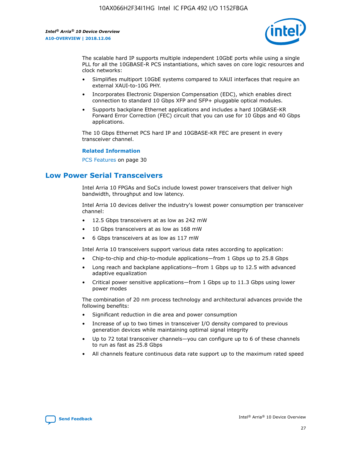

The scalable hard IP supports multiple independent 10GbE ports while using a single PLL for all the 10GBASE-R PCS instantiations, which saves on core logic resources and clock networks:

- Simplifies multiport 10GbE systems compared to XAUI interfaces that require an external XAUI-to-10G PHY.
- Incorporates Electronic Dispersion Compensation (EDC), which enables direct connection to standard 10 Gbps XFP and SFP+ pluggable optical modules.
- Supports backplane Ethernet applications and includes a hard 10GBASE-KR Forward Error Correction (FEC) circuit that you can use for 10 Gbps and 40 Gbps applications.

The 10 Gbps Ethernet PCS hard IP and 10GBASE-KR FEC are present in every transceiver channel.

## **Related Information**

PCS Features on page 30

## **Low Power Serial Transceivers**

Intel Arria 10 FPGAs and SoCs include lowest power transceivers that deliver high bandwidth, throughput and low latency.

Intel Arria 10 devices deliver the industry's lowest power consumption per transceiver channel:

- 12.5 Gbps transceivers at as low as 242 mW
- 10 Gbps transceivers at as low as 168 mW
- 6 Gbps transceivers at as low as 117 mW

Intel Arria 10 transceivers support various data rates according to application:

- Chip-to-chip and chip-to-module applications—from 1 Gbps up to 25.8 Gbps
- Long reach and backplane applications—from 1 Gbps up to 12.5 with advanced adaptive equalization
- Critical power sensitive applications—from 1 Gbps up to 11.3 Gbps using lower power modes

The combination of 20 nm process technology and architectural advances provide the following benefits:

- Significant reduction in die area and power consumption
- Increase of up to two times in transceiver I/O density compared to previous generation devices while maintaining optimal signal integrity
- Up to 72 total transceiver channels—you can configure up to 6 of these channels to run as fast as 25.8 Gbps
- All channels feature continuous data rate support up to the maximum rated speed

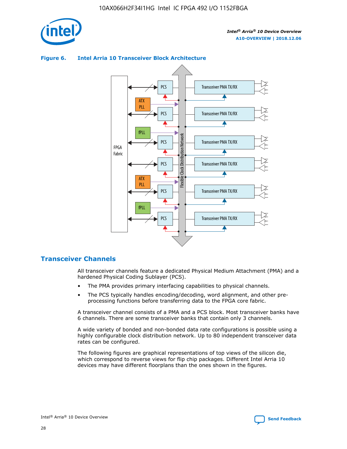





## **Transceiver Channels**

All transceiver channels feature a dedicated Physical Medium Attachment (PMA) and a hardened Physical Coding Sublayer (PCS).

- The PMA provides primary interfacing capabilities to physical channels.
- The PCS typically handles encoding/decoding, word alignment, and other preprocessing functions before transferring data to the FPGA core fabric.

A transceiver channel consists of a PMA and a PCS block. Most transceiver banks have 6 channels. There are some transceiver banks that contain only 3 channels.

A wide variety of bonded and non-bonded data rate configurations is possible using a highly configurable clock distribution network. Up to 80 independent transceiver data rates can be configured.

The following figures are graphical representations of top views of the silicon die, which correspond to reverse views for flip chip packages. Different Intel Arria 10 devices may have different floorplans than the ones shown in the figures.

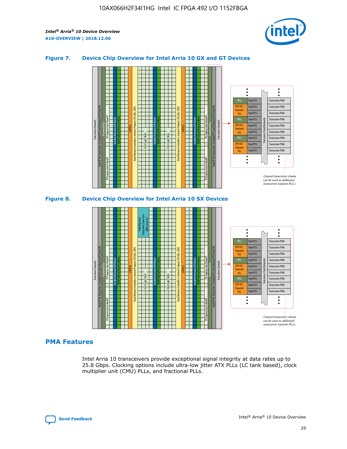

## **Figure 7. Device Chip Overview for Intel Arria 10 GX and GT Devices**



**Figure 8. Device Chip Overview for Intel Arria 10 SX Devices**



## **PMA Features**

Intel Arria 10 transceivers provide exceptional signal integrity at data rates up to 25.8 Gbps. Clocking options include ultra-low jitter ATX PLLs (LC tank based), clock multiplier unit (CMU) PLLs, and fractional PLLs.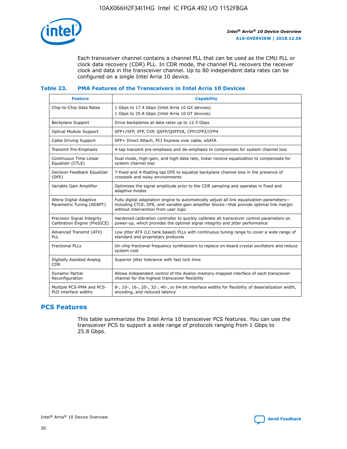

Each transceiver channel contains a channel PLL that can be used as the CMU PLL or clock data recovery (CDR) PLL. In CDR mode, the channel PLL recovers the receiver clock and data in the transceiver channel. Up to 80 independent data rates can be configured on a single Intel Arria 10 device.

## **Table 23. PMA Features of the Transceivers in Intel Arria 10 Devices**

| <b>Feature</b>                                             | <b>Capability</b>                                                                                                                                                                                                             |
|------------------------------------------------------------|-------------------------------------------------------------------------------------------------------------------------------------------------------------------------------------------------------------------------------|
| Chip-to-Chip Data Rates                                    | 1 Gbps to 17.4 Gbps (Intel Arria 10 GX devices)<br>1 Gbps to 25.8 Gbps (Intel Arria 10 GT devices)                                                                                                                            |
| <b>Backplane Support</b>                                   | Drive backplanes at data rates up to 12.5 Gbps                                                                                                                                                                                |
| Optical Module Support                                     | SFP+/SFP, XFP, CXP, QSFP/QSFP28, CFP/CFP2/CFP4                                                                                                                                                                                |
| Cable Driving Support                                      | SFP+ Direct Attach, PCI Express over cable, eSATA                                                                                                                                                                             |
| Transmit Pre-Emphasis                                      | 4-tap transmit pre-emphasis and de-emphasis to compensate for system channel loss                                                                                                                                             |
| Continuous Time Linear<br>Equalizer (CTLE)                 | Dual mode, high-gain, and high-data rate, linear receive equalization to compensate for<br>system channel loss                                                                                                                |
| Decision Feedback Equalizer<br>(DFE)                       | 7-fixed and 4-floating tap DFE to equalize backplane channel loss in the presence of<br>crosstalk and noisy environments                                                                                                      |
| Variable Gain Amplifier                                    | Optimizes the signal amplitude prior to the CDR sampling and operates in fixed and<br>adaptive modes                                                                                                                          |
| Altera Digital Adaptive<br>Parametric Tuning (ADAPT)       | Fully digital adaptation engine to automatically adjust all link equalization parameters-<br>including CTLE, DFE, and variable gain amplifier blocks—that provide optimal link margin<br>without intervention from user logic |
| Precision Signal Integrity<br>Calibration Engine (PreSICE) | Hardened calibration controller to quickly calibrate all transceiver control parameters on<br>power-up, which provides the optimal signal integrity and jitter performance                                                    |
| Advanced Transmit (ATX)<br><b>PLL</b>                      | Low jitter ATX (LC tank based) PLLs with continuous tuning range to cover a wide range of<br>standard and proprietary protocols                                                                                               |
| <b>Fractional PLLs</b>                                     | On-chip fractional frequency synthesizers to replace on-board crystal oscillators and reduce<br>system cost                                                                                                                   |
| Digitally Assisted Analog<br><b>CDR</b>                    | Superior jitter tolerance with fast lock time                                                                                                                                                                                 |
| Dynamic Partial<br>Reconfiguration                         | Allows independent control of the Avalon memory-mapped interface of each transceiver<br>channel for the highest transceiver flexibility                                                                                       |
| Multiple PCS-PMA and PCS-<br>PLD interface widths          | 8-, 10-, 16-, 20-, 32-, 40-, or 64-bit interface widths for flexibility of deserialization width,<br>encoding, and reduced latency                                                                                            |

## **PCS Features**

This table summarizes the Intel Arria 10 transceiver PCS features. You can use the transceiver PCS to support a wide range of protocols ranging from 1 Gbps to 25.8 Gbps.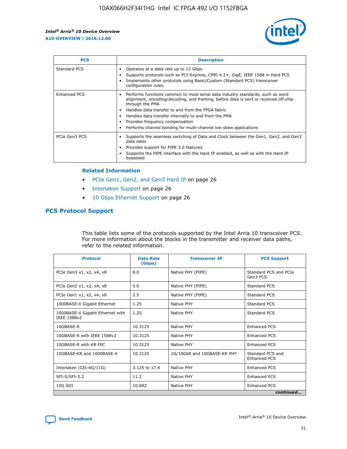

| <b>PCS</b>          | <b>Description</b>                                                                                                                                                                                                                                                                                                                                                                                             |
|---------------------|----------------------------------------------------------------------------------------------------------------------------------------------------------------------------------------------------------------------------------------------------------------------------------------------------------------------------------------------------------------------------------------------------------------|
| Standard PCS        | Operates at a data rate up to 12 Gbps<br>Supports protocols such as PCI-Express, CPRI 4.2+, GigE, IEEE 1588 in Hard PCS<br>Implements other protocols using Basic/Custom (Standard PCS) transceiver<br>configuration rules.                                                                                                                                                                                    |
| <b>Enhanced PCS</b> | Performs functions common to most serial data industry standards, such as word<br>alignment, encoding/decoding, and framing, before data is sent or received off-chip<br>through the PMA<br>• Handles data transfer to and from the FPGA fabric<br>Handles data transfer internally to and from the PMA<br>Provides frequency compensation<br>Performs channel bonding for multi-channel low skew applications |
| PCIe Gen3 PCS       | Supports the seamless switching of Data and Clock between the Gen1, Gen2, and Gen3<br>data rates<br>Provides support for PIPE 3.0 features<br>Supports the PIPE interface with the Hard IP enabled, as well as with the Hard IP<br>bypassed                                                                                                                                                                    |

#### **Related Information**

- PCIe Gen1, Gen2, and Gen3 Hard IP on page 26
- Interlaken Support on page 26
- 10 Gbps Ethernet Support on page 26

## **PCS Protocol Support**

This table lists some of the protocols supported by the Intel Arria 10 transceiver PCS. For more information about the blocks in the transmitter and receiver data paths, refer to the related information.

| <b>Protocol</b>                                 | <b>Data Rate</b><br>(Gbps) | <b>Transceiver IP</b>       | <b>PCS Support</b>                      |
|-------------------------------------------------|----------------------------|-----------------------------|-----------------------------------------|
| PCIe Gen3 x1, x2, x4, x8                        | 8.0                        | Native PHY (PIPE)           | Standard PCS and PCIe<br>Gen3 PCS       |
| PCIe Gen2 x1, x2, x4, x8                        | 5.0                        | Native PHY (PIPE)           | <b>Standard PCS</b>                     |
| PCIe Gen1 x1, x2, x4, x8                        | 2.5                        | Native PHY (PIPE)           | Standard PCS                            |
| 1000BASE-X Gigabit Ethernet                     | 1.25                       | Native PHY                  | <b>Standard PCS</b>                     |
| 1000BASE-X Gigabit Ethernet with<br>IEEE 1588v2 | 1.25                       | Native PHY                  | Standard PCS                            |
| 10GBASE-R                                       | 10.3125                    | Native PHY                  | <b>Enhanced PCS</b>                     |
| 10GBASE-R with IEEE 1588v2                      | 10.3125                    | Native PHY                  | <b>Enhanced PCS</b>                     |
| 10GBASE-R with KR FEC                           | 10.3125                    | Native PHY                  | <b>Enhanced PCS</b>                     |
| 10GBASE-KR and 1000BASE-X                       | 10.3125                    | 1G/10GbE and 10GBASE-KR PHY | Standard PCS and<br><b>Enhanced PCS</b> |
| Interlaken (CEI-6G/11G)                         | 3.125 to 17.4              | Native PHY                  | <b>Enhanced PCS</b>                     |
| SFI-S/SFI-5.2                                   | 11.2                       | Native PHY                  | <b>Enhanced PCS</b>                     |
| $10G$ SDI                                       | 10.692                     | Native PHY                  | <b>Enhanced PCS</b>                     |
|                                                 |                            |                             | continued                               |

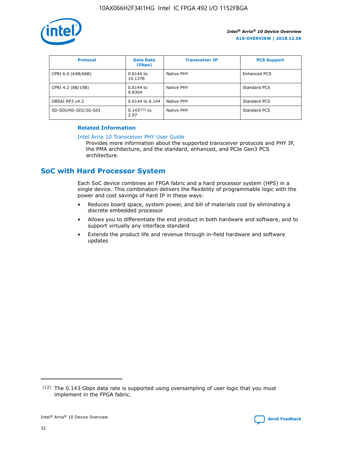

| <b>Protocol</b>      | <b>Data Rate</b><br>(Gbps) | <b>Transceiver IP</b> | <b>PCS Support</b> |
|----------------------|----------------------------|-----------------------|--------------------|
| CPRI 6.0 (64B/66B)   | 0.6144 to<br>10.1376       | Native PHY            | Enhanced PCS       |
| CPRI 4.2 (8B/10B)    | 0.6144 to<br>9.8304        | Native PHY            | Standard PCS       |
| OBSAI RP3 v4.2       | 0.6144 to 6.144            | Native PHY            | Standard PCS       |
| SD-SDI/HD-SDI/3G-SDI | $0.143(12)$ to<br>2.97     | Native PHY            | Standard PCS       |

## **Related Information**

#### [Intel Arria 10 Transceiver PHY User Guide](https://www.intel.com/content/www/us/en/programmable/documentation/nik1398707230472.html#nik1398707091164)

Provides more information about the supported transceiver protocols and PHY IP, the PMA architecture, and the standard, enhanced, and PCIe Gen3 PCS architecture.

## **SoC with Hard Processor System**

Each SoC device combines an FPGA fabric and a hard processor system (HPS) in a single device. This combination delivers the flexibility of programmable logic with the power and cost savings of hard IP in these ways:

- Reduces board space, system power, and bill of materials cost by eliminating a discrete embedded processor
- Allows you to differentiate the end product in both hardware and software, and to support virtually any interface standard
- Extends the product life and revenue through in-field hardware and software updates

 $(12)$  The 0.143 Gbps data rate is supported using oversampling of user logic that you must implement in the FPGA fabric.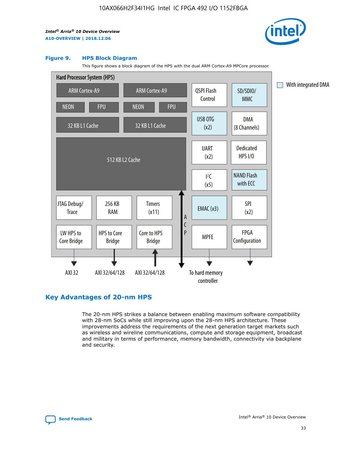

#### **Figure 9. HPS Block Diagram**

This figure shows a block diagram of the HPS with the dual ARM Cortex-A9 MPCore processor.



## **Key Advantages of 20-nm HPS**

The 20-nm HPS strikes a balance between enabling maximum software compatibility with 28-nm SoCs while still improving upon the 28-nm HPS architecture. These improvements address the requirements of the next generation target markets such as wireless and wireline communications, compute and storage equipment, broadcast and military in terms of performance, memory bandwidth, connectivity via backplane and security.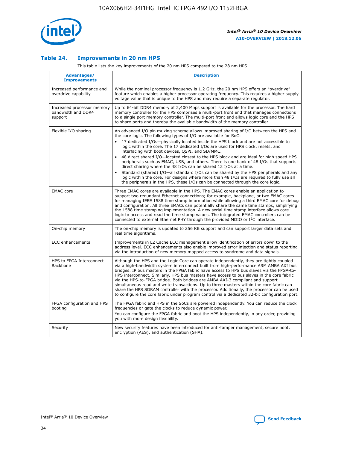

## **Table 24. Improvements in 20 nm HPS**

This table lists the key improvements of the 20 nm HPS compared to the 28 nm HPS.

| Advantages/<br><b>Improvements</b>                          | <b>Description</b>                                                                                                                                                                                                                                                                                                                                                                                                                                                                                                                                                                                                                                                                                                                                                                                                                                                                                                      |
|-------------------------------------------------------------|-------------------------------------------------------------------------------------------------------------------------------------------------------------------------------------------------------------------------------------------------------------------------------------------------------------------------------------------------------------------------------------------------------------------------------------------------------------------------------------------------------------------------------------------------------------------------------------------------------------------------------------------------------------------------------------------------------------------------------------------------------------------------------------------------------------------------------------------------------------------------------------------------------------------------|
| Increased performance and<br>overdrive capability           | While the nominal processor frequency is 1.2 GHz, the 20 nm HPS offers an "overdrive"<br>feature which enables a higher processor operating frequency. This requires a higher supply<br>voltage value that is unique to the HPS and may require a separate regulator.                                                                                                                                                                                                                                                                                                                                                                                                                                                                                                                                                                                                                                                   |
| Increased processor memory<br>bandwidth and DDR4<br>support | Up to 64-bit DDR4 memory at 2,400 Mbps support is available for the processor. The hard<br>memory controller for the HPS comprises a multi-port front end that manages connections<br>to a single port memory controller. The multi-port front end allows logic core and the HPS<br>to share ports and thereby the available bandwidth of the memory controller.                                                                                                                                                                                                                                                                                                                                                                                                                                                                                                                                                        |
| Flexible I/O sharing                                        | An advanced I/O pin muxing scheme allows improved sharing of I/O between the HPS and<br>the core logic. The following types of I/O are available for SoC:<br>17 dedicated I/Os-physically located inside the HPS block and are not accessible to<br>logic within the core. The 17 dedicated I/Os are used for HPS clock, resets, and<br>interfacing with boot devices, QSPI, and SD/MMC.<br>48 direct shared I/O-located closest to the HPS block and are ideal for high speed HPS<br>peripherals such as EMAC, USB, and others. There is one bank of 48 I/Os that supports<br>direct sharing where the 48 I/Os can be shared 12 I/Os at a time.<br>Standard (shared) I/O-all standard I/Os can be shared by the HPS peripherals and any<br>logic within the core. For designs where more than 48 I/Os are reguired to fully use all<br>the peripherals in the HPS, these I/Os can be connected through the core logic. |
| <b>EMAC</b> core                                            | Three EMAC cores are available in the HPS. The EMAC cores enable an application to<br>support two redundant Ethernet connections; for example, backplane, or two EMAC cores<br>for managing IEEE 1588 time stamp information while allowing a third EMAC core for debug<br>and configuration. All three EMACs can potentially share the same time stamps, simplifying<br>the 1588 time stamping implementation. A new serial time stamp interface allows core<br>logic to access and read the time stamp values. The integrated EMAC controllers can be<br>connected to external Ethernet PHY through the provided MDIO or I <sup>2</sup> C interface.                                                                                                                                                                                                                                                                  |
| On-chip memory                                              | The on-chip memory is updated to 256 KB support and can support larger data sets and<br>real time algorithms.                                                                                                                                                                                                                                                                                                                                                                                                                                                                                                                                                                                                                                                                                                                                                                                                           |
| <b>ECC</b> enhancements                                     | Improvements in L2 Cache ECC management allow identification of errors down to the<br>address level. ECC enhancements also enable improved error injection and status reporting<br>via the introduction of new memory mapped access to syndrome and data signals.                                                                                                                                                                                                                                                                                                                                                                                                                                                                                                                                                                                                                                                       |
| HPS to FPGA Interconnect<br>Backbone                        | Although the HPS and the Logic Core can operate independently, they are tightly coupled<br>via a high-bandwidth system interconnect built from high-performance ARM AMBA AXI bus<br>bridges. IP bus masters in the FPGA fabric have access to HPS bus slaves via the FPGA-to-<br>HPS interconnect. Similarly, HPS bus masters have access to bus slaves in the core fabric<br>via the HPS-to-FPGA bridge. Both bridges are AMBA AXI-3 compliant and support<br>simultaneous read and write transactions. Up to three masters within the core fabric can<br>share the HPS SDRAM controller with the processor. Additionally, the processor can be used<br>to configure the core fabric under program control via a dedicated 32-bit configuration port.                                                                                                                                                                  |
| FPGA configuration and HPS<br>booting                       | The FPGA fabric and HPS in the SoCs are powered independently. You can reduce the clock<br>frequencies or gate the clocks to reduce dynamic power.<br>You can configure the FPGA fabric and boot the HPS independently, in any order, providing<br>you with more design flexibility.                                                                                                                                                                                                                                                                                                                                                                                                                                                                                                                                                                                                                                    |
| Security                                                    | New security features have been introduced for anti-tamper management, secure boot,<br>encryption (AES), and authentication (SHA).                                                                                                                                                                                                                                                                                                                                                                                                                                                                                                                                                                                                                                                                                                                                                                                      |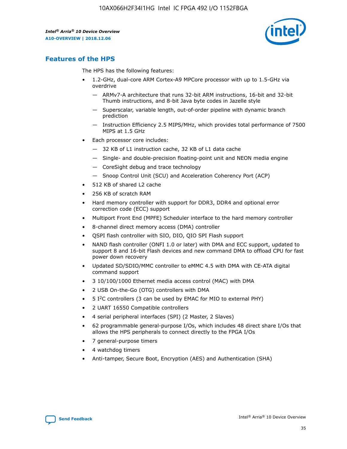

## **Features of the HPS**

The HPS has the following features:

- 1.2-GHz, dual-core ARM Cortex-A9 MPCore processor with up to 1.5-GHz via overdrive
	- ARMv7-A architecture that runs 32-bit ARM instructions, 16-bit and 32-bit Thumb instructions, and 8-bit Java byte codes in Jazelle style
	- Superscalar, variable length, out-of-order pipeline with dynamic branch prediction
	- Instruction Efficiency 2.5 MIPS/MHz, which provides total performance of 7500 MIPS at 1.5 GHz
- Each processor core includes:
	- 32 KB of L1 instruction cache, 32 KB of L1 data cache
	- Single- and double-precision floating-point unit and NEON media engine
	- CoreSight debug and trace technology
	- Snoop Control Unit (SCU) and Acceleration Coherency Port (ACP)
- 512 KB of shared L2 cache
- 256 KB of scratch RAM
- Hard memory controller with support for DDR3, DDR4 and optional error correction code (ECC) support
- Multiport Front End (MPFE) Scheduler interface to the hard memory controller
- 8-channel direct memory access (DMA) controller
- QSPI flash controller with SIO, DIO, QIO SPI Flash support
- NAND flash controller (ONFI 1.0 or later) with DMA and ECC support, updated to support 8 and 16-bit Flash devices and new command DMA to offload CPU for fast power down recovery
- Updated SD/SDIO/MMC controller to eMMC 4.5 with DMA with CE-ATA digital command support
- 3 10/100/1000 Ethernet media access control (MAC) with DMA
- 2 USB On-the-Go (OTG) controllers with DMA
- $\bullet$  5 I<sup>2</sup>C controllers (3 can be used by EMAC for MIO to external PHY)
- 2 UART 16550 Compatible controllers
- 4 serial peripheral interfaces (SPI) (2 Master, 2 Slaves)
- 62 programmable general-purpose I/Os, which includes 48 direct share I/Os that allows the HPS peripherals to connect directly to the FPGA I/Os
- 7 general-purpose timers
- 4 watchdog timers
- Anti-tamper, Secure Boot, Encryption (AES) and Authentication (SHA)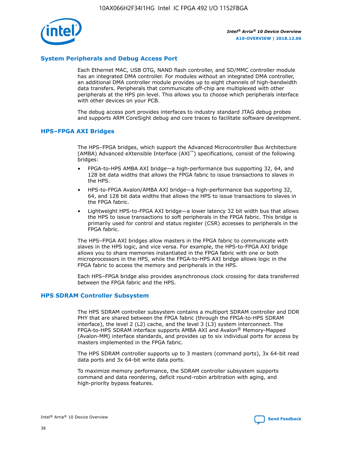

## **System Peripherals and Debug Access Port**

Each Ethernet MAC, USB OTG, NAND flash controller, and SD/MMC controller module has an integrated DMA controller. For modules without an integrated DMA controller, an additional DMA controller module provides up to eight channels of high-bandwidth data transfers. Peripherals that communicate off-chip are multiplexed with other peripherals at the HPS pin level. This allows you to choose which peripherals interface with other devices on your PCB.

The debug access port provides interfaces to industry standard JTAG debug probes and supports ARM CoreSight debug and core traces to facilitate software development.

#### **HPS–FPGA AXI Bridges**

The HPS–FPGA bridges, which support the Advanced Microcontroller Bus Architecture (AMBA) Advanced eXtensible Interface (AXI™) specifications, consist of the following bridges:

- FPGA-to-HPS AMBA AXI bridge—a high-performance bus supporting 32, 64, and 128 bit data widths that allows the FPGA fabric to issue transactions to slaves in the HPS.
- HPS-to-FPGA Avalon/AMBA AXI bridge—a high-performance bus supporting 32, 64, and 128 bit data widths that allows the HPS to issue transactions to slaves in the FPGA fabric.
- Lightweight HPS-to-FPGA AXI bridge—a lower latency 32 bit width bus that allows the HPS to issue transactions to soft peripherals in the FPGA fabric. This bridge is primarily used for control and status register (CSR) accesses to peripherals in the FPGA fabric.

The HPS–FPGA AXI bridges allow masters in the FPGA fabric to communicate with slaves in the HPS logic, and vice versa. For example, the HPS-to-FPGA AXI bridge allows you to share memories instantiated in the FPGA fabric with one or both microprocessors in the HPS, while the FPGA-to-HPS AXI bridge allows logic in the FPGA fabric to access the memory and peripherals in the HPS.

Each HPS–FPGA bridge also provides asynchronous clock crossing for data transferred between the FPGA fabric and the HPS.

#### **HPS SDRAM Controller Subsystem**

The HPS SDRAM controller subsystem contains a multiport SDRAM controller and DDR PHY that are shared between the FPGA fabric (through the FPGA-to-HPS SDRAM interface), the level 2 (L2) cache, and the level 3 (L3) system interconnect. The FPGA-to-HPS SDRAM interface supports AMBA AXI and Avalon® Memory-Mapped (Avalon-MM) interface standards, and provides up to six individual ports for access by masters implemented in the FPGA fabric.

The HPS SDRAM controller supports up to 3 masters (command ports), 3x 64-bit read data ports and 3x 64-bit write data ports.

To maximize memory performance, the SDRAM controller subsystem supports command and data reordering, deficit round-robin arbitration with aging, and high-priority bypass features.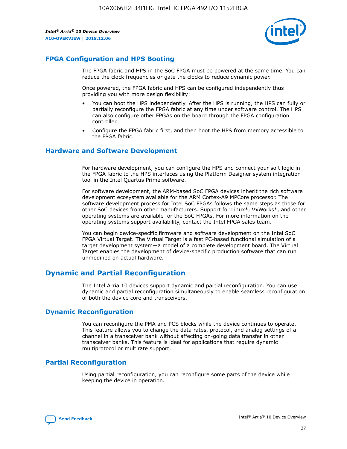

## **FPGA Configuration and HPS Booting**

The FPGA fabric and HPS in the SoC FPGA must be powered at the same time. You can reduce the clock frequencies or gate the clocks to reduce dynamic power.

Once powered, the FPGA fabric and HPS can be configured independently thus providing you with more design flexibility:

- You can boot the HPS independently. After the HPS is running, the HPS can fully or partially reconfigure the FPGA fabric at any time under software control. The HPS can also configure other FPGAs on the board through the FPGA configuration controller.
- Configure the FPGA fabric first, and then boot the HPS from memory accessible to the FPGA fabric.

## **Hardware and Software Development**

For hardware development, you can configure the HPS and connect your soft logic in the FPGA fabric to the HPS interfaces using the Platform Designer system integration tool in the Intel Quartus Prime software.

For software development, the ARM-based SoC FPGA devices inherit the rich software development ecosystem available for the ARM Cortex-A9 MPCore processor. The software development process for Intel SoC FPGAs follows the same steps as those for other SoC devices from other manufacturers. Support for Linux\*, VxWorks\*, and other operating systems are available for the SoC FPGAs. For more information on the operating systems support availability, contact the Intel FPGA sales team.

You can begin device-specific firmware and software development on the Intel SoC FPGA Virtual Target. The Virtual Target is a fast PC-based functional simulation of a target development system—a model of a complete development board. The Virtual Target enables the development of device-specific production software that can run unmodified on actual hardware.

## **Dynamic and Partial Reconfiguration**

The Intel Arria 10 devices support dynamic and partial reconfiguration. You can use dynamic and partial reconfiguration simultaneously to enable seamless reconfiguration of both the device core and transceivers.

## **Dynamic Reconfiguration**

You can reconfigure the PMA and PCS blocks while the device continues to operate. This feature allows you to change the data rates, protocol, and analog settings of a channel in a transceiver bank without affecting on-going data transfer in other transceiver banks. This feature is ideal for applications that require dynamic multiprotocol or multirate support.

## **Partial Reconfiguration**

Using partial reconfiguration, you can reconfigure some parts of the device while keeping the device in operation.

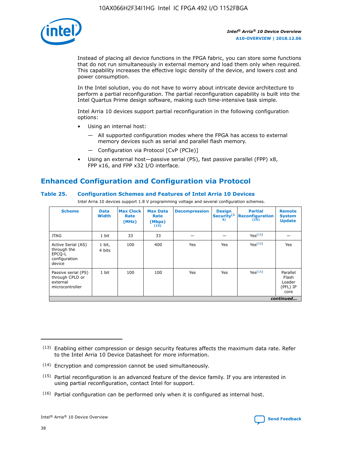

Instead of placing all device functions in the FPGA fabric, you can store some functions that do not run simultaneously in external memory and load them only when required. This capability increases the effective logic density of the device, and lowers cost and power consumption.

In the Intel solution, you do not have to worry about intricate device architecture to perform a partial reconfiguration. The partial reconfiguration capability is built into the Intel Quartus Prime design software, making such time-intensive task simple.

Intel Arria 10 devices support partial reconfiguration in the following configuration options:

- Using an internal host:
	- All supported configuration modes where the FPGA has access to external memory devices such as serial and parallel flash memory.
	- Configuration via Protocol [CvP (PCIe)]
- Using an external host—passive serial (PS), fast passive parallel (FPP) x8, FPP x16, and FPP x32 I/O interface.

## **Enhanced Configuration and Configuration via Protocol**

## **Table 25. Configuration Schemes and Features of Intel Arria 10 Devices**

Intel Arria 10 devices support 1.8 V programming voltage and several configuration schemes.

| <b>Scheme</b>                                                          | <b>Data</b><br><b>Width</b> | <b>Max Clock</b><br>Rate<br>(MHz) | <b>Max Data</b><br>Rate<br>(Mbps)<br>(13) | <b>Decompression</b> | <b>Design</b><br>Security <sup>(1</sup><br>4) | <b>Partial</b><br><b>Reconfiguration</b><br>(15) | <b>Remote</b><br><b>System</b><br><b>Update</b> |
|------------------------------------------------------------------------|-----------------------------|-----------------------------------|-------------------------------------------|----------------------|-----------------------------------------------|--------------------------------------------------|-------------------------------------------------|
| <b>JTAG</b>                                                            | 1 bit                       | 33                                | 33                                        |                      |                                               | Yes(16)                                          |                                                 |
| Active Serial (AS)<br>through the<br>EPCO-L<br>configuration<br>device | 1 bit,<br>4 bits            | 100                               | 400                                       | Yes                  | Yes                                           | $Y_{PS}(16)$                                     | Yes                                             |
| Passive serial (PS)<br>through CPLD or<br>external<br>microcontroller  | 1 bit                       | 100                               | 100                                       | Yes                  | Yes                                           | Yes <sup>(16)</sup>                              | Parallel<br>Flash<br>Loader<br>(PFL) IP<br>core |
|                                                                        |                             |                                   |                                           |                      |                                               |                                                  | continued                                       |

<sup>(13)</sup> Enabling either compression or design security features affects the maximum data rate. Refer to the Intel Arria 10 Device Datasheet for more information.

<sup>(14)</sup> Encryption and compression cannot be used simultaneously.

 $(15)$  Partial reconfiguration is an advanced feature of the device family. If you are interested in using partial reconfiguration, contact Intel for support.

 $(16)$  Partial configuration can be performed only when it is configured as internal host.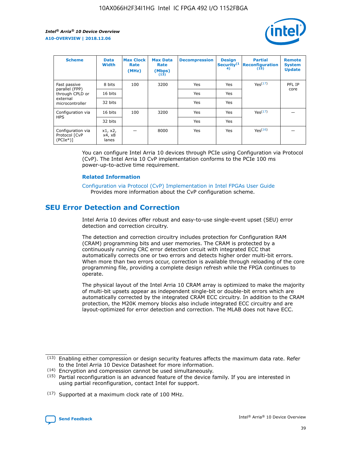

| <b>Scheme</b>                                   | <b>Data</b><br><b>Width</b> | <b>Max Clock</b><br>Rate<br>(MHz) | <b>Max Data</b><br>Rate<br>(Mbps)<br>(13) | <b>Decompression</b> | <b>Design</b><br>Security <sup>(1</sup><br>4) | <b>Partial</b><br><b>Reconfiguration</b><br>(15) | <b>Remote</b><br><b>System</b><br><b>Update</b> |
|-------------------------------------------------|-----------------------------|-----------------------------------|-------------------------------------------|----------------------|-----------------------------------------------|--------------------------------------------------|-------------------------------------------------|
| Fast passive                                    | 8 bits                      | 100                               | 3200                                      | Yes                  | Yes                                           | Yes(17)                                          | PFL IP                                          |
| parallel (FPP)<br>through CPLD or               | 16 bits                     |                                   |                                           | Yes                  | Yes                                           |                                                  | core                                            |
| external<br>microcontroller                     | 32 bits                     |                                   |                                           | Yes                  | Yes                                           |                                                  |                                                 |
| Configuration via                               | 16 bits                     | 100                               | 3200                                      | Yes                  | Yes                                           | Yes <sup>(17)</sup>                              |                                                 |
| <b>HPS</b>                                      | 32 bits                     |                                   |                                           | Yes                  | Yes                                           |                                                  |                                                 |
| Configuration via<br>Protocol [CvP<br>$(PCIe*)$ | x1, x2,<br>x4, x8<br>lanes  |                                   | 8000                                      | Yes                  | Yes                                           | Yes <sup>(16)</sup>                              |                                                 |

You can configure Intel Arria 10 devices through PCIe using Configuration via Protocol (CvP). The Intel Arria 10 CvP implementation conforms to the PCIe 100 ms power-up-to-active time requirement.

## **Related Information**

[Configuration via Protocol \(CvP\) Implementation in Intel FPGAs User Guide](https://www.intel.com/content/www/us/en/programmable/documentation/dsu1441819344145.html#dsu1442269728522) Provides more information about the CvP configuration scheme.

## **SEU Error Detection and Correction**

Intel Arria 10 devices offer robust and easy-to-use single-event upset (SEU) error detection and correction circuitry.

The detection and correction circuitry includes protection for Configuration RAM (CRAM) programming bits and user memories. The CRAM is protected by a continuously running CRC error detection circuit with integrated ECC that automatically corrects one or two errors and detects higher order multi-bit errors. When more than two errors occur, correction is available through reloading of the core programming file, providing a complete design refresh while the FPGA continues to operate.

The physical layout of the Intel Arria 10 CRAM array is optimized to make the majority of multi-bit upsets appear as independent single-bit or double-bit errors which are automatically corrected by the integrated CRAM ECC circuitry. In addition to the CRAM protection, the M20K memory blocks also include integrated ECC circuitry and are layout-optimized for error detection and correction. The MLAB does not have ECC.

(14) Encryption and compression cannot be used simultaneously.

<sup>(17)</sup> Supported at a maximum clock rate of 100 MHz.



 $(13)$  Enabling either compression or design security features affects the maximum data rate. Refer to the Intel Arria 10 Device Datasheet for more information.

 $(15)$  Partial reconfiguration is an advanced feature of the device family. If you are interested in using partial reconfiguration, contact Intel for support.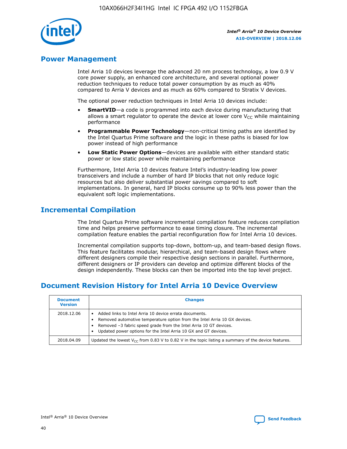

## **Power Management**

Intel Arria 10 devices leverage the advanced 20 nm process technology, a low 0.9 V core power supply, an enhanced core architecture, and several optional power reduction techniques to reduce total power consumption by as much as 40% compared to Arria V devices and as much as 60% compared to Stratix V devices.

The optional power reduction techniques in Intel Arria 10 devices include:

- **SmartVID**—a code is programmed into each device during manufacturing that allows a smart regulator to operate the device at lower core  $V_{CC}$  while maintaining performance
- **Programmable Power Technology**—non-critical timing paths are identified by the Intel Quartus Prime software and the logic in these paths is biased for low power instead of high performance
- **Low Static Power Options**—devices are available with either standard static power or low static power while maintaining performance

Furthermore, Intel Arria 10 devices feature Intel's industry-leading low power transceivers and include a number of hard IP blocks that not only reduce logic resources but also deliver substantial power savings compared to soft implementations. In general, hard IP blocks consume up to 90% less power than the equivalent soft logic implementations.

## **Incremental Compilation**

The Intel Quartus Prime software incremental compilation feature reduces compilation time and helps preserve performance to ease timing closure. The incremental compilation feature enables the partial reconfiguration flow for Intel Arria 10 devices.

Incremental compilation supports top-down, bottom-up, and team-based design flows. This feature facilitates modular, hierarchical, and team-based design flows where different designers compile their respective design sections in parallel. Furthermore, different designers or IP providers can develop and optimize different blocks of the design independently. These blocks can then be imported into the top level project.

## **Document Revision History for Intel Arria 10 Device Overview**

| <b>Document</b><br><b>Version</b> | <b>Changes</b>                                                                                                                                                                                                                                                              |
|-----------------------------------|-----------------------------------------------------------------------------------------------------------------------------------------------------------------------------------------------------------------------------------------------------------------------------|
| 2018.12.06                        | Added links to Intel Arria 10 device errata documents.<br>Removed automotive temperature option from the Intel Arria 10 GX devices.<br>Removed -3 fabric speed grade from the Intel Arria 10 GT devices.<br>Updated power options for the Intel Arria 10 GX and GT devices. |
| 2018.04.09                        | Updated the lowest $V_{CC}$ from 0.83 V to 0.82 V in the topic listing a summary of the device features.                                                                                                                                                                    |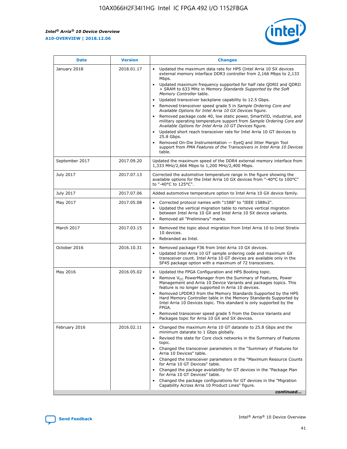

| <b>Date</b>    | <b>Version</b> | <b>Changes</b>                                                                                                                                                                                                                                                                                                                                                                                                                                                                                                                                                                                                                                                                                                                                                                                                                                                                                                                                               |
|----------------|----------------|--------------------------------------------------------------------------------------------------------------------------------------------------------------------------------------------------------------------------------------------------------------------------------------------------------------------------------------------------------------------------------------------------------------------------------------------------------------------------------------------------------------------------------------------------------------------------------------------------------------------------------------------------------------------------------------------------------------------------------------------------------------------------------------------------------------------------------------------------------------------------------------------------------------------------------------------------------------|
| January 2018   | 2018.01.17     | Updated the maximum data rate for HPS (Intel Arria 10 SX devices<br>external memory interface DDR3 controller from 2,166 Mbps to 2,133<br>Mbps.<br>Updated maximum frequency supported for half rate QDRII and QDRII<br>+ SRAM to 633 MHz in Memory Standards Supported by the Soft<br>Memory Controller table.<br>Updated transceiver backplane capability to 12.5 Gbps.<br>Removed transceiver speed grade 5 in Sample Ordering Core and<br>Available Options for Intel Arria 10 GX Devices figure.<br>Removed package code 40, low static power, SmartVID, industrial, and<br>military operating temperature support from Sample Ordering Core and<br>Available Options for Intel Arria 10 GT Devices figure.<br>Updated short reach transceiver rate for Intel Arria 10 GT devices to<br>25.8 Gbps.<br>Removed On-Die Instrumentation - EyeQ and Jitter Margin Tool<br>support from PMA Features of the Transceivers in Intel Arria 10 Devices<br>table. |
| September 2017 | 2017.09.20     | Updated the maximum speed of the DDR4 external memory interface from<br>1,333 MHz/2,666 Mbps to 1,200 MHz/2,400 Mbps.                                                                                                                                                                                                                                                                                                                                                                                                                                                                                                                                                                                                                                                                                                                                                                                                                                        |
| July 2017      | 2017.07.13     | Corrected the automotive temperature range in the figure showing the<br>available options for the Intel Arria 10 GX devices from "-40°C to 100°C"<br>to "-40°C to 125°C".                                                                                                                                                                                                                                                                                                                                                                                                                                                                                                                                                                                                                                                                                                                                                                                    |
| July 2017      | 2017.07.06     | Added automotive temperature option to Intel Arria 10 GX device family.                                                                                                                                                                                                                                                                                                                                                                                                                                                                                                                                                                                                                                                                                                                                                                                                                                                                                      |
| May 2017       | 2017.05.08     | Corrected protocol names with "1588" to "IEEE 1588v2".<br>Updated the vertical migration table to remove vertical migration<br>$\bullet$<br>between Intel Arria 10 GX and Intel Arria 10 SX device variants.<br>Removed all "Preliminary" marks.                                                                                                                                                                                                                                                                                                                                                                                                                                                                                                                                                                                                                                                                                                             |
| March 2017     | 2017.03.15     | Removed the topic about migration from Intel Arria 10 to Intel Stratix<br>10 devices.<br>Rebranded as Intel.<br>$\bullet$                                                                                                                                                                                                                                                                                                                                                                                                                                                                                                                                                                                                                                                                                                                                                                                                                                    |
| October 2016   | 2016.10.31     | Removed package F36 from Intel Arria 10 GX devices.<br>Updated Intel Arria 10 GT sample ordering code and maximum GX<br>$\bullet$<br>transceiver count. Intel Arria 10 GT devices are available only in the<br>SF45 package option with a maximum of 72 transceivers.                                                                                                                                                                                                                                                                                                                                                                                                                                                                                                                                                                                                                                                                                        |
| May 2016       | 2016.05.02     | Updated the FPGA Configuration and HPS Booting topic.<br>$\bullet$<br>Remove V <sub>CC</sub> PowerManager from the Summary of Features, Power<br>Management and Arria 10 Device Variants and packages topics. This<br>feature is no longer supported in Arria 10 devices.<br>Removed LPDDR3 from the Memory Standards Supported by the HPS<br>Hard Memory Controller table in the Memory Standards Supported by<br>Intel Arria 10 Devices topic. This standard is only supported by the<br>FPGA.<br>Removed transceiver speed grade 5 from the Device Variants and<br>Packages topic for Arria 10 GX and SX devices.                                                                                                                                                                                                                                                                                                                                         |
| February 2016  | 2016.02.11     | Changed the maximum Arria 10 GT datarate to 25.8 Gbps and the<br>minimum datarate to 1 Gbps globally.<br>Revised the state for Core clock networks in the Summary of Features<br>topic.<br>Changed the transceiver parameters in the "Summary of Features for<br>Arria 10 Devices" table.<br>Changed the transceiver parameters in the "Maximum Resource Counts"<br>for Arria 10 GT Devices" table.<br>Changed the package availability for GT devices in the "Package Plan<br>for Arria 10 GT Devices" table.<br>Changed the package configurations for GT devices in the "Migration"<br>Capability Across Arria 10 Product Lines" figure.<br>continued                                                                                                                                                                                                                                                                                                     |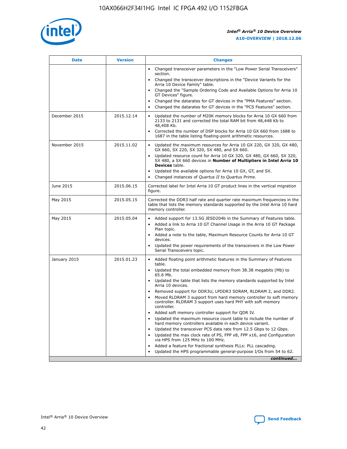

| <b>Date</b>   | <b>Version</b> | <b>Changes</b>                                                                                                                                                               |
|---------------|----------------|------------------------------------------------------------------------------------------------------------------------------------------------------------------------------|
|               |                | Changed transceiver parameters in the "Low Power Serial Transceivers"<br>$\bullet$<br>section.                                                                               |
|               |                | • Changed the transceiver descriptions in the "Device Variants for the<br>Arria 10 Device Family" table.                                                                     |
|               |                | • Changed the "Sample Ordering Code and Available Options for Arria 10<br>GT Devices" figure.                                                                                |
|               |                | Changed the datarates for GT devices in the "PMA Features" section.                                                                                                          |
|               |                | Changed the datarates for GT devices in the "PCS Features" section.<br>$\bullet$                                                                                             |
| December 2015 | 2015.12.14     | Updated the number of M20K memory blocks for Arria 10 GX 660 from<br>2133 to 2131 and corrected the total RAM bit from 48,448 Kb to<br>48,408 Kb.                            |
|               |                | Corrected the number of DSP blocks for Arria 10 GX 660 from 1688 to<br>$\bullet$<br>1687 in the table listing floating-point arithmetic resources.                           |
| November 2015 | 2015.11.02     | Updated the maximum resources for Arria 10 GX 220, GX 320, GX 480,<br>GX 660, SX 220, SX 320, SX 480, and SX 660.                                                            |
|               |                | Updated resource count for Arria 10 GX 320, GX 480, GX 660, SX 320,<br>SX 480, a SX 660 devices in Number of Multipliers in Intel Arria 10<br><b>Devices</b> table.          |
|               |                | Updated the available options for Arria 10 GX, GT, and SX.<br>$\bullet$                                                                                                      |
|               |                | Changed instances of Quartus II to Quartus Prime.<br>$\bullet$                                                                                                               |
| June 2015     | 2015.06.15     | Corrected label for Intel Arria 10 GT product lines in the vertical migration<br>figure.                                                                                     |
| May 2015      | 2015.05.15     | Corrected the DDR3 half rate and quarter rate maximum frequencies in the<br>table that lists the memory standards supported by the Intel Arria 10 hard<br>memory controller. |
| May 2015      | 2015.05.04     | • Added support for 13.5G JESD204b in the Summary of Features table.                                                                                                         |
|               |                | Added a link to Arria 10 GT Channel Usage in the Arria 10 GT Package<br>$\bullet$<br>Plan topic.                                                                             |
|               |                | • Added a note to the table, Maximum Resource Counts for Arria 10 GT<br>devices.                                                                                             |
|               |                | • Updated the power requirements of the transceivers in the Low Power<br>Serial Transceivers topic.                                                                          |
| January 2015  | 2015.01.23     | • Added floating point arithmetic features in the Summary of Features<br>table.                                                                                              |
|               |                | • Updated the total embedded memory from 38.38 megabits (Mb) to<br>65.6 Mb.                                                                                                  |
|               |                | • Updated the table that lists the memory standards supported by Intel<br>Arria 10 devices.                                                                                  |
|               |                | Removed support for DDR3U, LPDDR3 SDRAM, RLDRAM 2, and DDR2.                                                                                                                 |
|               |                | Moved RLDRAM 3 support from hard memory controller to soft memory<br>controller. RLDRAM 3 support uses hard PHY with soft memory<br>controller.                              |
|               |                | Added soft memory controller support for QDR IV.                                                                                                                             |
|               |                | Updated the maximum resource count table to include the number of<br>hard memory controllers available in each device variant.                                               |
|               |                | Updated the transceiver PCS data rate from 12.5 Gbps to 12 Gbps.                                                                                                             |
|               |                | Updated the max clock rate of PS, FPP x8, FPP x16, and Configuration<br>via HPS from 125 MHz to 100 MHz.                                                                     |
|               |                | Added a feature for fractional synthesis PLLs: PLL cascading.                                                                                                                |
|               |                | Updated the HPS programmable general-purpose I/Os from 54 to 62.<br>$\bullet$                                                                                                |
|               |                | continued                                                                                                                                                                    |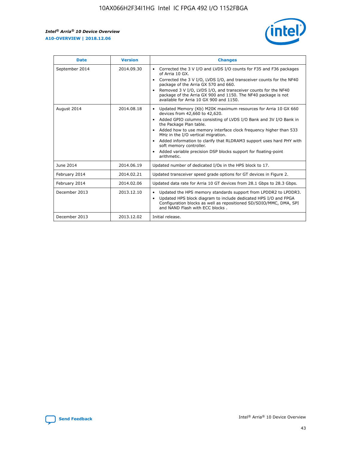r



| <b>Date</b>    | <b>Version</b> | <b>Changes</b>                                                                                                                                                                                                                                                                                                                                                                                                                                                                                                                                      |
|----------------|----------------|-----------------------------------------------------------------------------------------------------------------------------------------------------------------------------------------------------------------------------------------------------------------------------------------------------------------------------------------------------------------------------------------------------------------------------------------------------------------------------------------------------------------------------------------------------|
| September 2014 | 2014.09.30     | Corrected the 3 V I/O and LVDS I/O counts for F35 and F36 packages<br>$\bullet$<br>of Arria 10 GX.<br>Corrected the 3 V I/O, LVDS I/O, and transceiver counts for the NF40<br>$\bullet$<br>package of the Arria GX 570 and 660.<br>Removed 3 V I/O, LVDS I/O, and transceiver counts for the NF40<br>package of the Arria GX 900 and 1150. The NF40 package is not<br>available for Arria 10 GX 900 and 1150.                                                                                                                                       |
| August 2014    | 2014.08.18     | Updated Memory (Kb) M20K maximum resources for Arria 10 GX 660<br>devices from 42,660 to 42,620.<br>Added GPIO columns consisting of LVDS I/O Bank and 3V I/O Bank in<br>$\bullet$<br>the Package Plan table.<br>Added how to use memory interface clock frequency higher than 533<br>$\bullet$<br>MHz in the I/O vertical migration.<br>Added information to clarify that RLDRAM3 support uses hard PHY with<br>$\bullet$<br>soft memory controller.<br>Added variable precision DSP blocks support for floating-point<br>$\bullet$<br>arithmetic. |
| June 2014      | 2014.06.19     | Updated number of dedicated I/Os in the HPS block to 17.                                                                                                                                                                                                                                                                                                                                                                                                                                                                                            |
| February 2014  | 2014.02.21     | Updated transceiver speed grade options for GT devices in Figure 2.                                                                                                                                                                                                                                                                                                                                                                                                                                                                                 |
| February 2014  | 2014.02.06     | Updated data rate for Arria 10 GT devices from 28.1 Gbps to 28.3 Gbps.                                                                                                                                                                                                                                                                                                                                                                                                                                                                              |
| December 2013  | 2013.12.10     | Updated the HPS memory standards support from LPDDR2 to LPDDR3.<br>Updated HPS block diagram to include dedicated HPS I/O and FPGA<br>$\bullet$<br>Configuration blocks as well as repositioned SD/SDIO/MMC, DMA, SPI<br>and NAND Flash with ECC blocks.                                                                                                                                                                                                                                                                                            |
| December 2013  | 2013.12.02     | Initial release.                                                                                                                                                                                                                                                                                                                                                                                                                                                                                                                                    |